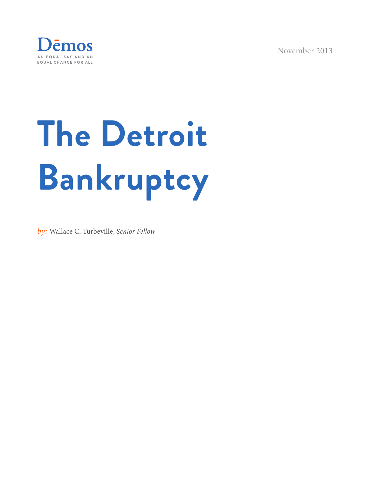November 2013



# **The Detroit Bankruptcy**

*by:* Wallace C. Turbeville, *Senior Fellow*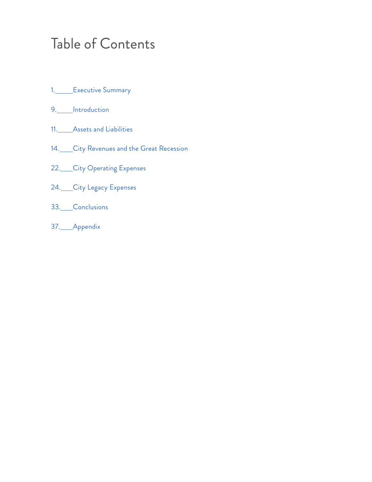### Table of Contents

- 1. Executive Summary
- 9. Introduction
- 11. Assets and Liabilities
- 14. City Revenues and the Great Recession
- 22. City Operating Expenses
- 24. City Legacy Expenses
- 33. Conclusions
- 37. Appendix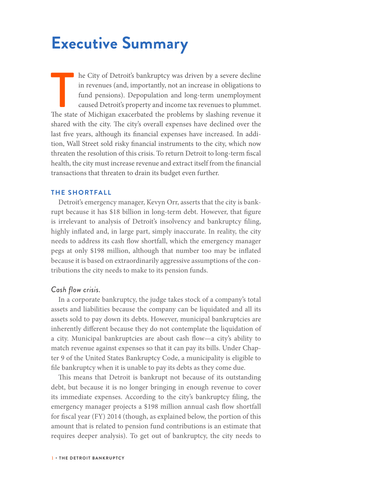# **Executive Summary**

The State of Michigan exacerbated the problems by a severe decline in revenues (and, importantly, not an increase in obligations to fund pensions). Depopulation and long-term unemployment caused Detroit's property and inco he City of Detroit's bankruptcy was driven by a severe decline in revenues (and, importantly, not an increase in obligations to fund pensions). Depopulation and long-term unemployment caused Detroit's property and income tax revenues to plummet. shared with the city. The city's overall expenses have declined over the last five years, although its financial expenses have increased. In addition, Wall Street sold risky financial instruments to the city, which now threaten the resolution of this crisis. To return Detroit to long-term fiscal health, the city must increase revenue and extract itself from the financial transactions that threaten to drain its budget even further.

#### **THE SHORTFALL**

Detroit's emergency manager, Kevyn Orr, asserts that the city is bankrupt because it has \$18 billion in long-term debt. However, that figure is irrelevant to analysis of Detroit's insolvency and bankruptcy filing, highly inflated and, in large part, simply inaccurate. In reality, the city needs to address its cash flow shortfall, which the emergency manager pegs at only \$198 million, although that number too may be inflated because it is based on extraordinarily aggressive assumptions of the contributions the city needs to make to its pension funds.

#### *Cash flow crisis.*

In a corporate bankruptcy, the judge takes stock of a company's total assets and liabilities because the company can be liquidated and all its assets sold to pay down its debts. However, municipal bankruptcies are inherently different because they do not contemplate the liquidation of a city. Municipal bankruptcies are about cash flow—a city's ability to match revenue against expenses so that it can pay its bills. Under Chapter 9 of the United States Bankruptcy Code, a municipality is eligible to file bankruptcy when it is unable to pay its debts as they come due.

This means that Detroit is bankrupt not because of its outstanding debt, but because it is no longer bringing in enough revenue to cover its immediate expenses. According to the city's bankruptcy filing, the emergency manager projects a \$198 million annual cash flow shortfall for fiscal year (FY) 2014 (though, as explained below, the portion of this amount that is related to pension fund contributions is an estimate that requires deeper analysis). To get out of bankruptcy, the city needs to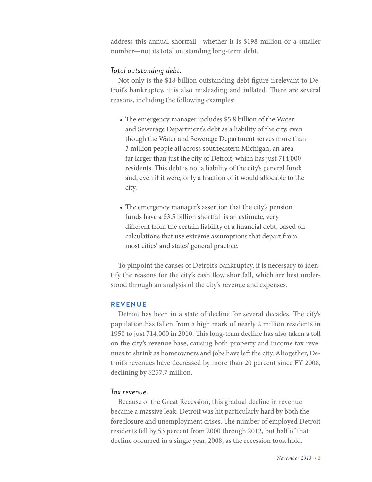address this annual shortfall—whether it is \$198 million or a smaller number—not its total outstanding long-term debt.

#### *Total outstanding debt.*

Not only is the \$18 billion outstanding debt figure irrelevant to Detroit's bankruptcy, it is also misleading and inflated. There are several reasons, including the following examples:

- The emergency manager includes \$5.8 billion of the Water and Sewerage Department's debt as a liability of the city, even though the Water and Sewerage Department serves more than 3 million people all across southeastern Michigan, an area far larger than just the city of Detroit, which has just 714,000 residents. This debt is not a liability of the city's general fund; and, even if it were, only a fraction of it would allocable to the city.
- The emergency manager's assertion that the city's pension funds have a \$3.5 billion shortfall is an estimate, very different from the certain liability of a financial debt, based on calculations that use extreme assumptions that depart from most cities' and states' general practice.

To pinpoint the causes of Detroit's bankruptcy, it is necessary to identify the reasons for the city's cash flow shortfall, which are best understood through an analysis of the city's revenue and expenses.

#### **REVENUE**

Detroit has been in a state of decline for several decades. The city's population has fallen from a high mark of nearly 2 million residents in 1950 to just 714,000 in 2010. This long-term decline has also taken a toll on the city's revenue base, causing both property and income tax revenues to shrink as homeowners and jobs have left the city. Altogether, Detroit's revenues have decreased by more than 20 percent since FY 2008, declining by \$257.7 million.

#### *Tax revenue.*

Because of the Great Recession, this gradual decline in revenue became a massive leak. Detroit was hit particularly hard by both the foreclosure and unemployment crises. The number of employed Detroit residents fell by 53 percent from 2000 through 2012, but half of that decline occurred in a single year, 2008, as the recession took hold.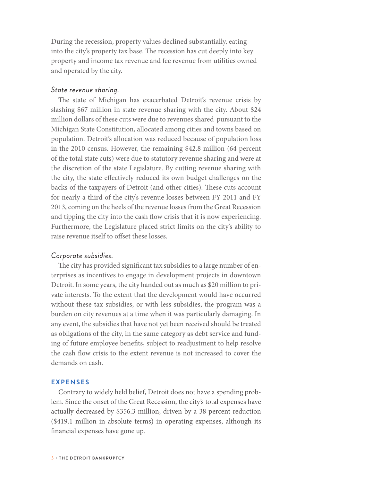During the recession, property values declined substantially, eating into the city's property tax base. The recession has cut deeply into key property and income tax revenue and fee revenue from utilities owned and operated by the city.

#### *State revenue sharing.*

The state of Michigan has exacerbated Detroit's revenue crisis by slashing \$67 million in state revenue sharing with the city. About \$24 million dollars of these cuts were due to revenues shared pursuant to the Michigan State Constitution, allocated among cities and towns based on population. Detroit's allocation was reduced because of population loss in the 2010 census. However, the remaining \$42.8 million (64 percent of the total state cuts) were due to statutory revenue sharing and were at the discretion of the state Legislature. By cutting revenue sharing with the city, the state effectively reduced its own budget challenges on the backs of the taxpayers of Detroit (and other cities). These cuts account for nearly a third of the city's revenue losses between FY 2011 and FY 2013, coming on the heels of the revenue losses from the Great Recession and tipping the city into the cash flow crisis that it is now experiencing. Furthermore, the Legislature placed strict limits on the city's ability to raise revenue itself to offset these losses.

#### *Corporate subsidies.*

The city has provided significant tax subsidies to a large number of enterprises as incentives to engage in development projects in downtown Detroit. In some years, the city handed out as much as \$20 million to private interests. To the extent that the development would have occurred without these tax subsidies, or with less subsidies, the program was a burden on city revenues at a time when it was particularly damaging. In any event, the subsidies that have not yet been received should be treated as obligations of the city, in the same category as debt service and funding of future employee benefits, subject to readjustment to help resolve the cash flow crisis to the extent revenue is not increased to cover the demands on cash.

#### **EXPENSES**

Contrary to widely held belief, Detroit does not have a spending problem. Since the onset of the Great Recession, the city's total expenses have actually decreased by \$356.3 million, driven by a 38 percent reduction (\$419.1 million in absolute terms) in operating expenses, although its financial expenses have gone up.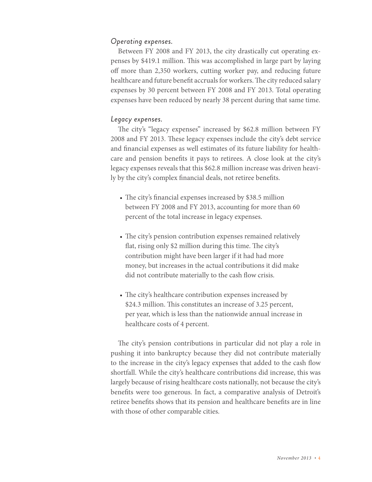#### *Operating expenses.*

Between FY 2008 and FY 2013, the city drastically cut operating expenses by \$419.1 million. This was accomplished in large part by laying off more than 2,350 workers, cutting worker pay, and reducing future healthcare and future benefit accruals for workers. The city reduced salary expenses by 30 percent between FY 2008 and FY 2013. Total operating expenses have been reduced by nearly 38 percent during that same time.

#### *Legacy expenses.*

The city's "legacy expenses" increased by \$62.8 million between FY 2008 and FY 2013. These legacy expenses include the city's debt service and financial expenses as well estimates of its future liability for healthcare and pension benefits it pays to retirees. A close look at the city's legacy expenses reveals that this \$62.8 million increase was driven heavily by the city's complex financial deals, not retiree benefits.

- The city's financial expenses increased by \$38.5 million between FY 2008 and FY 2013, accounting for more than 60 percent of the total increase in legacy expenses.
- The city's pension contribution expenses remained relatively flat, rising only \$2 million during this time. The city's contribution might have been larger if it had had more money, but increases in the actual contributions it did make did not contribute materially to the cash flow crisis.
- The city's healthcare contribution expenses increased by \$24.3 million. This constitutes an increase of 3.25 percent, per year, which is less than the nationwide annual increase in healthcare costs of 4 percent.

The city's pension contributions in particular did not play a role in pushing it into bankruptcy because they did not contribute materially to the increase in the city's legacy expenses that added to the cash flow shortfall. While the city's healthcare contributions did increase, this was largely because of rising healthcare costs nationally, not because the city's benefits were too generous. In fact, a comparative analysis of Detroit's retiree benefits shows that its pension and healthcare benefits are in line with those of other comparable cities.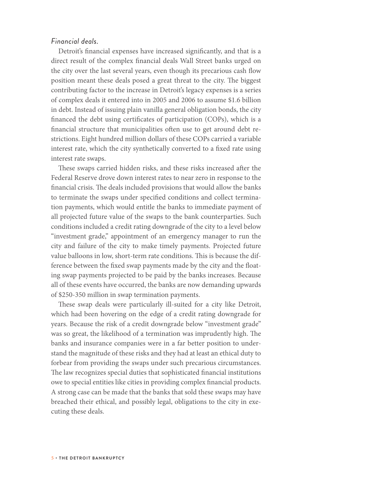#### *Financial deals.*

Detroit's financial expenses have increased significantly, and that is a direct result of the complex financial deals Wall Street banks urged on the city over the last several years, even though its precarious cash flow position meant these deals posed a great threat to the city. The biggest contributing factor to the increase in Detroit's legacy expenses is a series of complex deals it entered into in 2005 and 2006 to assume \$1.6 billion in debt. Instead of issuing plain vanilla general obligation bonds, the city financed the debt using certificates of participation (COPs), which is a financial structure that municipalities often use to get around debt restrictions. Eight hundred million dollars of these COPs carried a variable interest rate, which the city synthetically converted to a fixed rate using interest rate swaps.

These swaps carried hidden risks, and these risks increased after the Federal Reserve drove down interest rates to near zero in response to the financial crisis. The deals included provisions that would allow the banks to terminate the swaps under specified conditions and collect termination payments, which would entitle the banks to immediate payment of all projected future value of the swaps to the bank counterparties. Such conditions included a credit rating downgrade of the city to a level below "investment grade," appointment of an emergency manager to run the city and failure of the city to make timely payments. Projected future value balloons in low, short-term rate conditions. This is because the difference between the fixed swap payments made by the city and the floating swap payments projected to be paid by the banks increases. Because all of these events have occurred, the banks are now demanding upwards of \$250-350 million in swap termination payments.

These swap deals were particularly ill-suited for a city like Detroit, which had been hovering on the edge of a credit rating downgrade for years. Because the risk of a credit downgrade below "investment grade" was so great, the likelihood of a termination was imprudently high. The banks and insurance companies were in a far better position to understand the magnitude of these risks and they had at least an ethical duty to forbear from providing the swaps under such precarious circumstances. The law recognizes special duties that sophisticated financial institutions owe to special entities like cities in providing complex financial products. A strong case can be made that the banks that sold these swaps may have breached their ethical, and possibly legal, obligations to the city in executing these deals.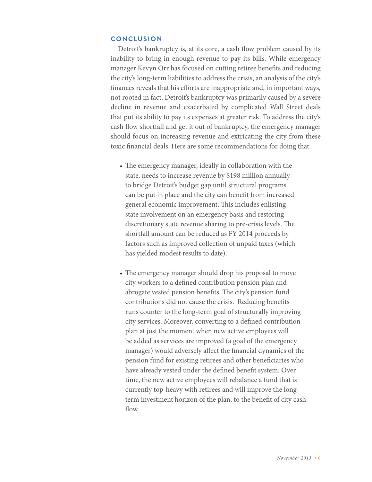#### **CONCLUSION**

Detroit's bankruptcy is, at its core, a cash flow problem caused by its inability to bring in enough revenue to pay its bills. While emergency manager Kevyn Orr has focused on cutting retiree benefits and reducing the city's long-term liabilities to address the crisis, an analysis of the city's finances reveals that his efforts are inappropriate and, in important ways, not rooted in fact. Detroit's bankruptcy was primarily caused by a severe decline in revenue and exacerbated by complicated Wall Street deals that put its ability to pay its expenses at greater risk. To address the city's cash flow shortfall and get it out of bankruptcy, the emergency manager should focus on increasing revenue and extricating the city from these toxic financial deals. Here are some recommendations for doing that:

- The emergency manager, ideally in collaboration with the state, needs to increase revenue by \$198 million annually to bridge Detroit's budget gap until structural programs can be put in place and the city can benefit from increased general economic improvement. This includes enlisting state involvement on an emergency basis and restoring discretionary state revenue sharing to pre-crisis levels. The shortfall amount can be reduced as FY 2014 proceeds by factors such as improved collection of unpaid taxes (which has yielded modest results to date).
- The emergency manager should drop his proposal to move city workers to a defined contribution pension plan and abrogate vested pension benefits. The city's pension fund contributions did not cause the crisis. Reducing benefits runs counter to the long-term goal of structurally improving city services. Moreover, converting to a defined contribution plan at just the moment when new active employees will be added as services are improved (a goal of the emergency manager) would adversely affect the financial dynamics of the pension fund for existing retirees and other beneficiaries who have already vested under the defined benefit system. Over time, the new active employees will rebalance a fund that is currently top-heavy with retirees and will improve the longterm investment horizon of the plan, to the benefit of city cash flow.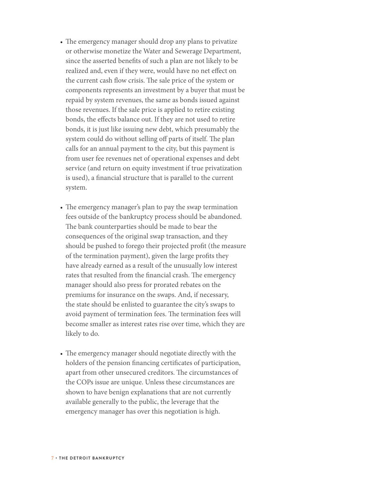- The emergency manager should drop any plans to privatize or otherwise monetize the Water and Sewerage Department, since the asserted benefits of such a plan are not likely to be realized and, even if they were, would have no net effect on the current cash flow crisis. The sale price of the system or components represents an investment by a buyer that must be repaid by system revenues, the same as bonds issued against those revenues. If the sale price is applied to retire existing bonds, the effects balance out. If they are not used to retire bonds, it is just like issuing new debt, which presumably the system could do without selling off parts of itself. The plan calls for an annual payment to the city, but this payment is from user fee revenues net of operational expenses and debt service (and return on equity investment if true privatization is used), a financial structure that is parallel to the current system.
- The emergency manager's plan to pay the swap termination fees outside of the bankruptcy process should be abandoned. The bank counterparties should be made to bear the consequences of the original swap transaction, and they should be pushed to forego their projected profit (the measure of the termination payment), given the large profits they have already earned as a result of the unusually low interest rates that resulted from the financial crash. The emergency manager should also press for prorated rebates on the premiums for insurance on the swaps. And, if necessary, the state should be enlisted to guarantee the city's swaps to avoid payment of termination fees. The termination fees will become smaller as interest rates rise over time, which they are likely to do.
- The emergency manager should negotiate directly with the holders of the pension financing certificates of participation, apart from other unsecured creditors. The circumstances of the COPs issue are unique. Unless these circumstances are shown to have benign explanations that are not currently available generally to the public, the leverage that the emergency manager has over this negotiation is high.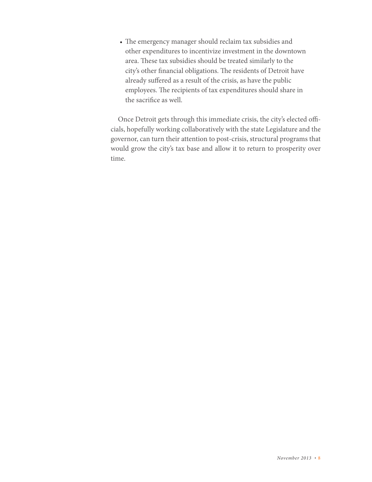• The emergency manager should reclaim tax subsidies and other expenditures to incentivize investment in the downtown area. These tax subsidies should be treated similarly to the city's other financial obligations. The residents of Detroit have already suffered as a result of the crisis, as have the public employees. The recipients of tax expenditures should share in the sacrifice as well.

Once Detroit gets through this immediate crisis, the city's elected officials, hopefully working collaboratively with the state Legislature and the governor, can turn their attention to post-crisis, structural programs that would grow the city's tax base and allow it to return to prosperity over time.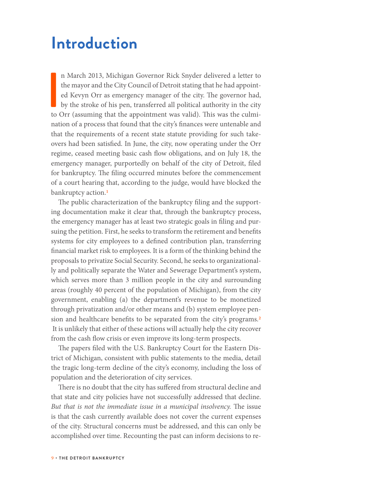### **Introduction**

I n March 2013, Michigan Governor Rick Snyder delivered a letter to the mayor and the City Council of Detroit stating that he had appointed Kevyn Orr as emergency manager of the city. The governor had, by the stroke of his pen, transferred all political authority in the city to Orr (assuming that the appointment was valid). This was the culmination of a process that found that the city's finances were untenable and that the requirements of a recent state statute providing for such takeovers had been satisfied. In June, the city, now operating under the Orr regime, ceased meeting basic cash flow obligations, and on July 18, the emergency manager, purportedly on behalf of the city of Detroit, filed for bankruptcy. The filing occurred minutes before the commencement of a court hearing that, according to the judge, would have blocked the bankruptcy action.<sup>1</sup>

The public characterization of the bankruptcy filing and the supporting documentation make it clear that, through the bankruptcy process, the emergency manager has at least two strategic goals in filing and pursuing the petition. First, he seeks to transform the retirement and benefits systems for city employees to a defined contribution plan, transferring financial market risk to employees. It is a form of the thinking behind the proposals to privatize Social Security. Second, he seeks to organizationally and politically separate the Water and Sewerage Department's system, which serves more than 3 million people in the city and surrounding areas (roughly 40 percent of the population of Michigan), from the city government, enabling (a) the department's revenue to be monetized through privatization and/or other means and (b) system employee pension and healthcare benefits to be separated from the city's programs.<sup>2</sup> It is unlikely that either of these actions will actually help the city recover from the cash flow crisis or even improve its long-term prospects.

The papers filed with the U.S. Bankruptcy Court for the Eastern District of Michigan, consistent with public statements to the media, detail the tragic long-term decline of the city's economy, including the loss of population and the deterioration of city services.

There is no doubt that the city has suffered from structural decline and that state and city policies have not successfully addressed that decline. *But that is not the immediate issue in a municipal insolvency.* The issue is that the cash currently available does not cover the current expenses of the city. Structural concerns must be addressed, and this can only be accomplished over time. Recounting the past can inform decisions to re-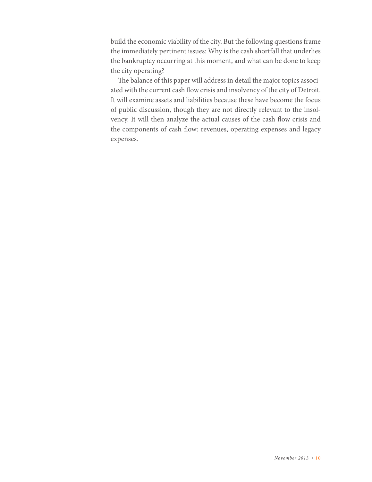build the economic viability of the city. But the following questions frame the immediately pertinent issues: Why is the cash shortfall that underlies the bankruptcy occurring at this moment, and what can be done to keep the city operating?

The balance of this paper will address in detail the major topics associated with the current cash flow crisis and insolvency of the city of Detroit. It will examine assets and liabilities because these have become the focus of public discussion, though they are not directly relevant to the insolvency. It will then analyze the actual causes of the cash flow crisis and the components of cash flow: revenues, operating expenses and legacy expenses.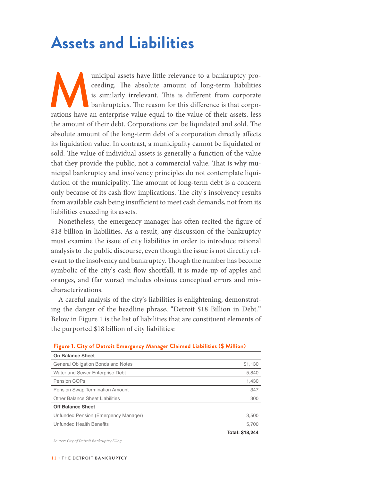# **Assets and Liabilities**

unicipal assets have little relevance to a bankruptcy proceeding. The absolute amount of long-term liabilities is similarly irrelevant. This is different from corporate bankruptcies. The reason for this difference is that ceeding. The absolute amount of long-term liabilities is similarly irrelevant. This is different from corporate bankruptcies. The reason for this difference is that corporations have an enterprise value equal to the value of their assets, less the amount of their debt. Corporations can be liquidated and sold. The absolute amount of the long-term debt of a corporation directly affects its liquidation value. In contrast, a municipality cannot be liquidated or sold. The value of individual assets is generally a function of the value that they provide the public, not a commercial value. That is why municipal bankruptcy and insolvency principles do not contemplate liquidation of the municipality. The amount of long-term debt is a concern only because of its cash flow implications. The city's insolvency results from available cash being insufficient to meet cash demands, not from its liabilities exceeding its assets.

Nonetheless, the emergency manager has often recited the figure of \$18 billion in liabilities. As a result, any discussion of the bankruptcy must examine the issue of city liabilities in order to introduce rational analysis to the public discourse, even though the issue is not directly relevant to the insolvency and bankruptcy. Though the number has become symbolic of the city's cash flow shortfall, it is made up of apples and oranges, and (far worse) includes obvious conceptual errors and mischaracterizations.

A careful analysis of the city's liabilities is enlightening, demonstrating the danger of the headline phrase, "Detroit \$18 Billion in Debt." Below in Figure 1 is the list of liabilities that are constituent elements of the purported \$18 billion of city liabilities:

| <b>On Balance Sheet</b>              |                 |
|--------------------------------------|-----------------|
| General Obligation Bonds and Notes   | \$1,130         |
| Water and Sewer Enterprise Debt      | 5,840           |
| Pension COPs                         | 1,430           |
| Pension Swap Termination Amount      | 347             |
| Other Balance Sheet Liabilities      | 300             |
| <b>Off Balance Sheet</b>             |                 |
| Unfunded Pension (Emergency Manager) | 3,500           |
| Unfunded Health Benefits             | 5,700           |
|                                      | Total: \$18,244 |

#### **Figure 1. City of Detroit Emergency Manager Claimed Liabilities (\$ Million)**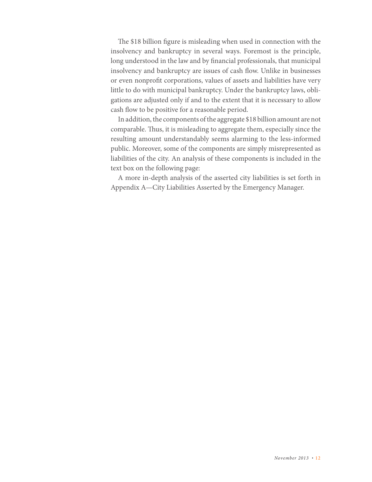The \$18 billion figure is misleading when used in connection with the insolvency and bankruptcy in several ways. Foremost is the principle, long understood in the law and by financial professionals, that municipal insolvency and bankruptcy are issues of cash flow. Unlike in businesses or even nonprofit corporations, values of assets and liabilities have very little to do with municipal bankruptcy. Under the bankruptcy laws, obligations are adjusted only if and to the extent that it is necessary to allow cash flow to be positive for a reasonable period.

In addition, the components of the aggregate \$18 billion amount are not comparable. Thus, it is misleading to aggregate them, especially since the resulting amount understandably seems alarming to the less-informed public. Moreover, some of the components are simply misrepresented as liabilities of the city. An analysis of these components is included in the text box on the following page:

A more in-depth analysis of the asserted city liabilities is set forth in Appendix A—City Liabilities Asserted by the Emergency Manager.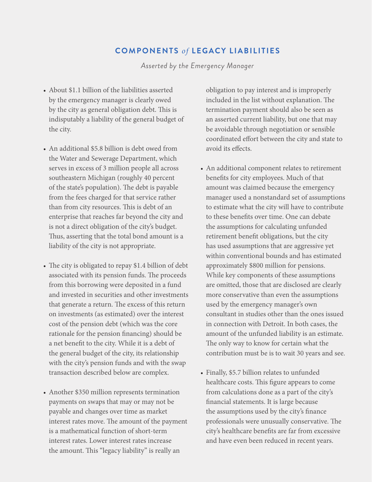#### **COMPONENTS** *of* **LEGACY LIABILITIES**

*Asserted by the Emergency Manager*

- About \$1.1 billion of the liabilities asserted by the emergency manager is clearly owed by the city as general obligation debt. This is indisputably a liability of the general budget of the city.
- An additional \$5.8 billion is debt owed from the Water and Sewerage Department, which serves in excess of 3 million people all across southeastern Michigan (roughly 40 percent of the state's population). The debt is payable from the fees charged for that service rather than from city resources. This is debt of an enterprise that reaches far beyond the city and is not a direct obligation of the city's budget. Thus, asserting that the total bond amount is a liability of the city is not appropriate.
- The city is obligated to repay \$1.4 billion of debt associated with its pension funds. The proceeds from this borrowing were deposited in a fund and invested in securities and other investments that generate a return. The excess of this return on investments (as estimated) over the interest cost of the pension debt (which was the core rationale for the pension financing) should be a net benefit to the city. While it is a debt of the general budget of the city, its relationship with the city's pension funds and with the swap transaction described below are complex.
- Another \$350 million represents termination payments on swaps that may or may not be payable and changes over time as market interest rates move. The amount of the payment is a mathematical function of short-term interest rates. Lower interest rates increase the amount. This "legacy liability" is really an

obligation to pay interest and is improperly included in the list without explanation. The termination payment should also be seen as an asserted current liability, but one that may be avoidable through negotiation or sensible coordinated effort between the city and state to avoid its effects.

- An additional component relates to retirement benefits for city employees. Much of that amount was claimed because the emergency manager used a nonstandard set of assumptions to estimate what the city will have to contribute to these benefits over time. One can debate the assumptions for calculating unfunded retirement benefit obligations, but the city has used assumptions that are aggressive yet within conventional bounds and has estimated approximately \$800 million for pensions. While key components of these assumptions are omitted, those that are disclosed are clearly more conservative than even the assumptions used by the emergency manager's own consultant in studies other than the ones issued in connection with Detroit. In both cases, the amount of the unfunded liability is an estimate. The only way to know for certain what the contribution must be is to wait 30 years and see.
- Finally, \$5.7 billion relates to unfunded healthcare costs. This figure appears to come from calculations done as a part of the city's financial statements. It is large because the assumptions used by the city's finance professionals were unusually conservative. The city's healthcare benefits are far from excessive and have even been reduced in recent years.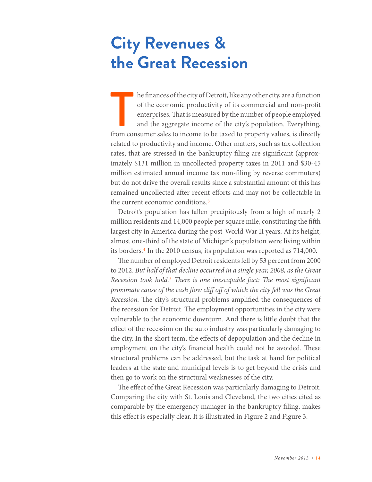# **City Revenues & the Great Recession**

The finances of the city of Detroit, like any other city, are a function of the economic productivity of its commercial and non-profit enterprises. That is measured by the number of people employed and the aggregate income he finances of the city of Detroit, like any other city, are a function of the economic productivity of its commercial and non-profit enterprises. That is measured by the number of people employed and the aggregate income of the city's population. Everything, related to productivity and income. Other matters, such as tax collection rates, that are stressed in the bankruptcy filing are significant (approximately \$131 million in uncollected property taxes in 2011 and \$30-45 million estimated annual income tax non-filing by reverse commuters) but do not drive the overall results since a substantial amount of this has remained uncollected after recent efforts and may not be collectable in the current economic conditions.3

Detroit's population has fallen precipitously from a high of nearly 2 million residents and 14,000 people per square mile, constituting the fifth largest city in America during the post-World War II years. At its height, almost one-third of the state of Michigan's population were living within its borders.4 In the 2010 census, its population was reported as 714,000.

The number of employed Detroit residents fell by 53 percent from 2000 to 2012. *But half of that decline occurred in a single year, 2008, as the Great Recession took hold.*5 *There is one inescapable fact: The most significant proximate cause of the cash flow cliff off of which the city fell was the Great Recession.* The city's structural problems amplified the consequences of the recession for Detroit. The employment opportunities in the city were vulnerable to the economic downturn. And there is little doubt that the effect of the recession on the auto industry was particularly damaging to the city. In the short term, the effects of depopulation and the decline in employment on the city's financial health could not be avoided. These structural problems can be addressed, but the task at hand for political leaders at the state and municipal levels is to get beyond the crisis and then go to work on the structural weaknesses of the city.

The effect of the Great Recession was particularly damaging to Detroit. Comparing the city with St. Louis and Cleveland, the two cities cited as comparable by the emergency manager in the bankruptcy filing, makes this effect is especially clear. It is illustrated in Figure 2 and Figure 3.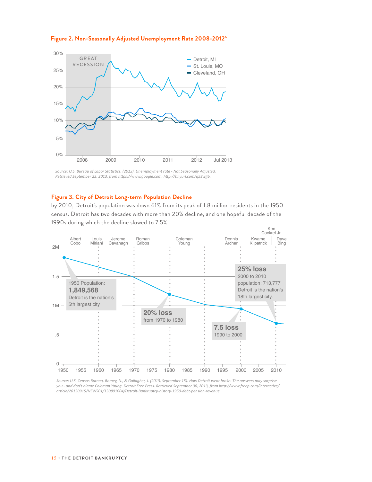

#### **Figure 2. Non-Seasonally Adjusted Unemployment Rate 2008-2012**6

*Source: U.S. Bureau of Labor Statistics. (2013). Unemployment rate - Not Seasonally Adjusted. Retrieved September 23, 2013, from https://www.google.com: http://tinyurl.com/q58wjjb.*

#### **Figure 3. City of Detroit Long-term Population Decline**

by 2010, Detroit's population was down 61% from its peak of 1.8 million residents in the 1950 census. Detroit has two decades with more than 20% decline, and one hopeful decade of the 1990s during which the decline slowed to 7.5%



*Source: U.S. Census Bureau, Bomey, N., & Gallagher, J. (2013, September 15). How Detroit went broke: The answers may surprise you - and don't blame Coleman Young. Detroit Free Press. Retrieved September 30, 2013, from http://www.freep.com/interactive/ article/20130915/NEWS01/130801004/Detroit-Bankruptcy-history-1950-debt-pension-revenue*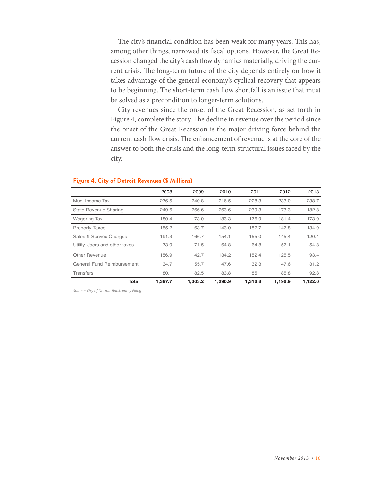The city's financial condition has been weak for many years. This has, among other things, narrowed its fiscal options. However, the Great Recession changed the city's cash flow dynamics materially, driving the current crisis. The long-term future of the city depends entirely on how it takes advantage of the general economy's cyclical recovery that appears to be beginning. The short-term cash flow shortfall is an issue that must be solved as a precondition to longer-term solutions.

City revenues since the onset of the Great Recession, as set forth in Figure 4, complete the story. The decline in revenue over the period since the onset of the Great Recession is the major driving force behind the current cash flow crisis. The enhancement of revenue is at the core of the answer to both the crisis and the long-term structural issues faced by the city.

#### **Figure 4. City of Detroit Revenues (\$ Millions)**

|                               | 2008    | 2009    | 2010    | 2011    | 2012    | 2013    |
|-------------------------------|---------|---------|---------|---------|---------|---------|
| Muni Income Tax               | 276.5   | 240.8   | 216.5   | 228.3   | 233.0   | 238.7   |
| State Revenue Sharing         | 249.6   | 266.6   | 263.6   | 239.3   | 173.3   | 182.8   |
| <b>Wagering Tax</b>           | 180.4   | 173.0   | 183.3   | 176.9   | 181.4   | 173.0   |
| <b>Property Taxes</b>         | 155.2   | 163.7   | 143.0   | 182.7   | 147.8   | 134.9   |
| Sales & Service Charges       | 191.3   | 166.7   | 154.1   | 155.0   | 145.4   | 120.4   |
| Utility Users and other taxes | 73.0    | 71.5    | 64.8    | 64.8    | 57.1    | 54.8    |
| Other Revenue                 | 156.9   | 142.7   | 134.2   | 152.4   | 125.5   | 93.4    |
| General Fund Reimbursement    | 34.7    | 55.7    | 47.6    | 32.3    | 47.6    | 31.2    |
| <b>Transfers</b>              | 80.1    | 82.5    | 83.8    | 85.1    | 85.8    | 92.8    |
| Total                         | 1.397.7 | 1.363.2 | 1.290.9 | 1,316.8 | 1.196.9 | 1,122.0 |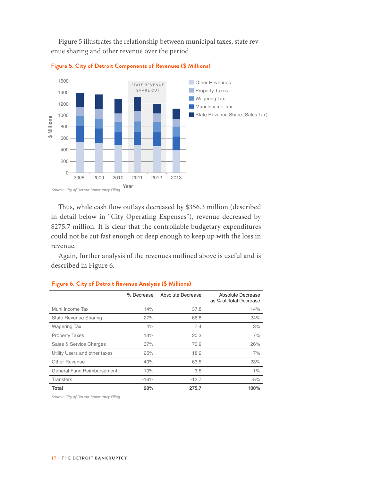Figure 5 illustrates the relationship between municipal taxes, state revenue sharing and other revenue over the period.





Thus, while cash flow outlays decreased by \$356.3 million (described in detail below in "City Operating Expenses"), revenue decreased by \$275.7 million. It is clear that the controllable budgetary expenditures could not be cut fast enough or deep enough to keep up with the loss in revenue.

Again, further analysis of the revenues outlined above is useful and is described in Figure 6.

|                                   | % Decrease | Absolute Decrease | Absolute Decrease<br>as % of Total Decrease |
|-----------------------------------|------------|-------------------|---------------------------------------------|
| Muni Income Tax                   | 14%        | 37.8              | 14%                                         |
| State Revenue Sharing             | 27%        | 66.8              | 24%                                         |
| <b>Wagering Tax</b>               | 4%         | 7.4               | 3%                                          |
| <b>Property Taxes</b>             | 13%        | 20.3              | 7%                                          |
| Sales & Service Charges           | 37%        | 70.9              | 26%                                         |
| Utility Users and other taxes     | 25%        | 18.2              | 7%                                          |
| Other Revenue                     | 40%        | 63.5              | 23%                                         |
| <b>General Fund Reimbursement</b> | 10%        | 3.5               | 1%                                          |
| <b>Transfers</b>                  | $-16%$     | $-12.7$           | $-5%$                                       |
| Total                             | 20%        | 275.7             | 100%                                        |

#### **Figure 6. City of Detroit Revenue Analysis (\$ Millions)**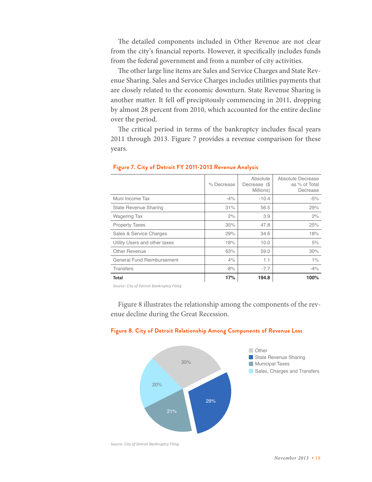The detailed components included in Other Revenue are not clear from the city's financial reports. However, it specifically includes funds from the federal government and from a number of city activities.

The other large line items are Sales and Service Charges and State Revenue Sharing. Sales and Service Charges includes utilities payments that are closely related to the economic downturn. State Revenue Sharing is another matter. It fell off precipitously commencing in 2011, dropping by almost 28 percent from 2010, which accounted for the entire decline over the period.

The critical period in terms of the bankruptcy includes fiscal years 2011 through 2013. Figure 7 provides a revenue comparison for these years.

|                               | % Decrease | Absolute<br>Decrease (\$<br>Millions) | Absolute Decrease<br>as % of Total<br>Decrease |
|-------------------------------|------------|---------------------------------------|------------------------------------------------|
| Muni Income Tax               | $-4%$      | $-10.4$                               | $-5%$                                          |
| State Revenue Sharing         | 31%        | 56.5                                  | 29%                                            |
| <b>Wagering Tax</b>           | 2%         | 3.9                                   | 2%                                             |
| <b>Property Taxes</b>         | 35%        | 47.8                                  | 25%                                            |
| Sales & Service Charges       | 29%        | 34.6                                  | 18%                                            |
| Utility Users and other taxes | 18%        | 10.0                                  | 5%                                             |
| Other Revenue                 | 63%        | 59.0                                  | 30%                                            |
| General Fund Reimbursement    | 4%         | 1.1                                   | 1%                                             |
| <b>Transfers</b>              | $-8%$      | $-7.7$                                | $-4%$                                          |
| <b>Total</b>                  | 17%        | 194.8                                 | 100%                                           |

#### **Figure 7. City of Detroit FY 2011-2013 Revenue Analysis**

*Source: City of Detroit Bankruptcy Filing*

Figure 8 illustrates the relationship among the components of the revenue decline during the Great Recession.



#### **Figure 8. City of Detroit Relationship Among Components of Revenue Loss**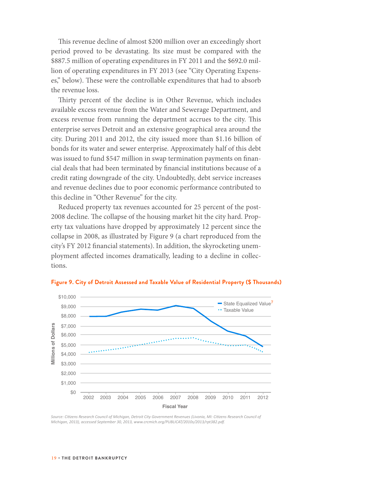This revenue decline of almost \$200 million over an exceedingly short period proved to be devastating. Its size must be compared with the \$887.5 million of operating expenditures in FY 2011 and the \$692.0 million of operating expenditures in FY 2013 (see "City Operating Expenses," below). These were the controllable expenditures that had to absorb the revenue loss.

Thirty percent of the decline is in Other Revenue, which includes available excess revenue from the Water and Sewerage Department, and excess revenue from running the department accrues to the city. This enterprise serves Detroit and an extensive geographical area around the city. During 2011 and 2012, the city issued more than \$1.16 billion of bonds for its water and sewer enterprise. Approximately half of this debt was issued to fund \$547 million in swap termination payments on financial deals that had been terminated by financial institutions because of a credit rating downgrade of the city. Undoubtedly, debt service increases and revenue declines due to poor economic performance contributed to this decline in "Other Revenue" for the city.

Reduced property tax revenues accounted for 25 percent of the post-2008 decline. The collapse of the housing market hit the city hard. Property tax valuations have dropped by approximately 12 percent since the collapse in 2008, as illustrated by Figure 9 (a chart reproduced from the city's FY 2012 financial statements). In addition, the skyrocketing unemployment affected incomes dramatically, leading to a decline in collections.



**Figure 9. City of Detroit Assessed and Taxable Value of Residential Property (\$ Thousands)**

*Source: Citizens Research Council of Michigan, Detroit City Government Revenues (Livonia, MI: Citizens Research Council of Michigan, 2013), accessed September 30, 2013, www.crcmich.org/PUBLICAT/2010s/2013/rpt382.pdf.*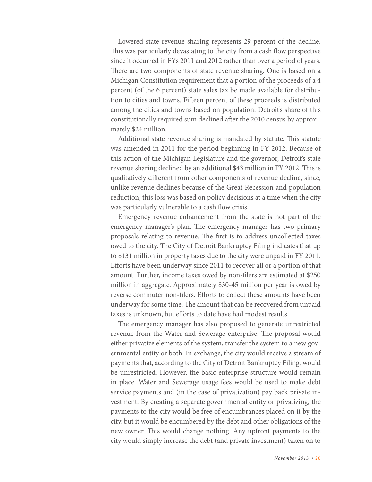Lowered state revenue sharing represents 29 percent of the decline. This was particularly devastating to the city from a cash flow perspective since it occurred in FYs 2011 and 2012 rather than over a period of years. There are two components of state revenue sharing. One is based on a Michigan Constitution requirement that a portion of the proceeds of a 4 percent (of the 6 percent) state sales tax be made available for distribution to cities and towns. Fifteen percent of these proceeds is distributed among the cities and towns based on population. Detroit's share of this constitutionally required sum declined after the 2010 census by approximately \$24 million.

Additional state revenue sharing is mandated by statute. This statute was amended in 2011 for the period beginning in FY 2012. Because of this action of the Michigan Legislature and the governor, Detroit's state revenue sharing declined by an additional \$43 million in FY 2012. This is qualitatively different from other components of revenue decline, since, unlike revenue declines because of the Great Recession and population reduction, this loss was based on policy decisions at a time when the city was particularly vulnerable to a cash flow crisis.

Emergency revenue enhancement from the state is not part of the emergency manager's plan. The emergency manager has two primary proposals relating to revenue. The first is to address uncollected taxes owed to the city. The City of Detroit Bankruptcy Filing indicates that up to \$131 million in property taxes due to the city were unpaid in FY 2011. Efforts have been underway since 2011 to recover all or a portion of that amount. Further, income taxes owed by non-filers are estimated at \$250 million in aggregate. Approximately \$30-45 million per year is owed by reverse commuter non-filers. Efforts to collect these amounts have been underway for some time. The amount that can be recovered from unpaid taxes is unknown, but efforts to date have had modest results.

The emergency manager has also proposed to generate unrestricted revenue from the Water and Sewerage enterprise. The proposal would either privatize elements of the system, transfer the system to a new governmental entity or both. In exchange, the city would receive a stream of payments that, according to the City of Detroit Bankruptcy Filing, would be unrestricted. However, the basic enterprise structure would remain in place. Water and Sewerage usage fees would be used to make debt service payments and (in the case of privatization) pay back private investment. By creating a separate governmental entity or privatizing, the payments to the city would be free of encumbrances placed on it by the city, but it would be encumbered by the debt and other obligations of the new owner. This would change nothing. Any upfront payments to the city would simply increase the debt (and private investment) taken on to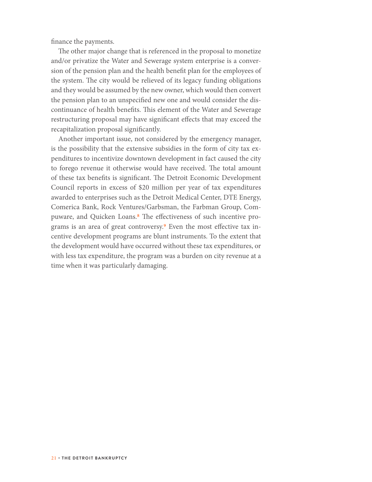finance the payments.

The other major change that is referenced in the proposal to monetize and/or privatize the Water and Sewerage system enterprise is a conversion of the pension plan and the health benefit plan for the employees of the system. The city would be relieved of its legacy funding obligations and they would be assumed by the new owner, which would then convert the pension plan to an unspecified new one and would consider the discontinuance of health benefits. This element of the Water and Sewerage restructuring proposal may have significant effects that may exceed the recapitalization proposal significantly.

Another important issue, not considered by the emergency manager, is the possibility that the extensive subsidies in the form of city tax expenditures to incentivize downtown development in fact caused the city to forego revenue it otherwise would have received. The total amount of these tax benefits is significant. The Detroit Economic Development Council reports in excess of \$20 million per year of tax expenditures awarded to enterprises such as the Detroit Medical Center, DTE Energy, Comerica Bank, Rock Ventures/Garbsman, the Farbman Group, Compuware, and Quicken Loans.8 The effectiveness of such incentive programs is an area of great controversy.<sup>9</sup> Even the most effective tax incentive development programs are blunt instruments. To the extent that the development would have occurred without these tax expenditures, or with less tax expenditure, the program was a burden on city revenue at a time when it was particularly damaging.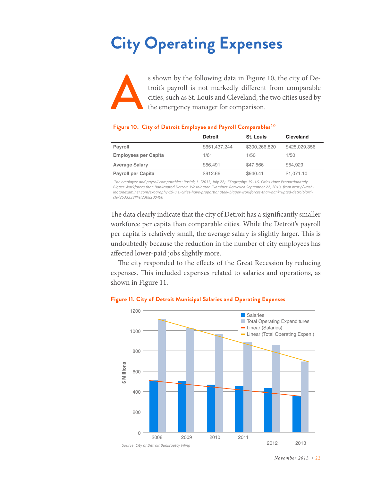# **City Operating Expenses**

s shown by the following data in Figure 10, the city of Detroit's payroll is not markedly different from comparable cities, such as St. Louis and Cleveland, the two cities used by the emergency manager for comparison.

#### **Figure 10. City of Detroit Employee and Payroll Comparables**10

|                             | <b>Detroit</b> | <b>St. Louis</b> | Cleveland     |
|-----------------------------|----------------|------------------|---------------|
| Payroll                     | \$651,437,244  | \$300,266,820    | \$425,029,356 |
| <b>Employees per Capita</b> | 1/61           | 1/50             | 1/50          |
| <b>Average Salary</b>       | \$56.491       | \$47.566         | \$54.929      |
| <b>Payroll per Capita</b>   | \$912.66       | \$940.41         | \$1,071.10    |

 *The employee and payroll comparables: Rosiak, L. (2013, July 22). EXography: 19 U.S. Cities Have Proportionately Bigger Workforces than Bankrupted Detroit. Washington Examiner. Retrieved September 22, 2013, from http://washingtonexaminer.com/exography-19-u.s.-cities-have-proportionately-bigger-workforces-than-bankrupted-detroit/article/2533338#list2308200400*

The data clearly indicate that the city of Detroit has a significantly smaller workforce per capita than comparable cities. While the Detroit's payroll per capita is relatively small, the average salary is slightly larger. This is undoubtedly because the reduction in the number of city employees has affected lower-paid jobs slightly more.

The city responded to the effects of the Great Recession by reducing expenses. This included expenses related to salaries and operations, as shown in Figure 11.



#### **Figure 11. City of Detroit Municipal Salaries and Operating Expenses**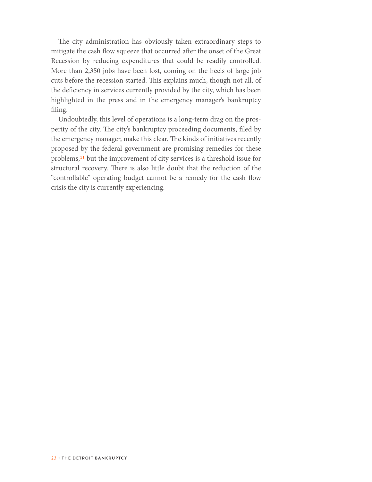The city administration has obviously taken extraordinary steps to mitigate the cash flow squeeze that occurred after the onset of the Great Recession by reducing expenditures that could be readily controlled. More than 2,350 jobs have been lost, coming on the heels of large job cuts before the recession started. This explains much, though not all, of the deficiency in services currently provided by the city, which has been highlighted in the press and in the emergency manager's bankruptcy filing.

Undoubtedly, this level of operations is a long-term drag on the prosperity of the city. The city's bankruptcy proceeding documents, filed by the emergency manager, make this clear. The kinds of initiatives recently proposed by the federal government are promising remedies for these problems,11 but the improvement of city services is a threshold issue for structural recovery. There is also little doubt that the reduction of the "controllable" operating budget cannot be a remedy for the cash flow crisis the city is currently experiencing.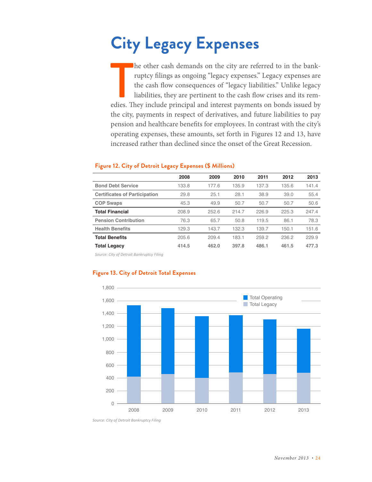# **City Legacy Expenses**

The other cash demands on the city are referred to in the bank-<br>ruptcy filings as ongoing "legacy expenses." Legacy expenses are<br>the cash flow consequences of "legacy liabilities." Unlike legacy<br>liabilities, they are perti he other cash demands on the city are referred to in the bankruptcy filings as ongoing "legacy expenses." Legacy expenses are the cash flow consequences of "legacy liabilities." Unlike legacy liabilities, they are pertinent to the cash flow crises and its remthe city, payments in respect of derivatives, and future liabilities to pay pension and healthcare benefits for employees. In contrast with the city's operating expenses, these amounts, set forth in Figures 12 and 13, have increased rather than declined since the onset of the Great Recession.

|                                      | 2008  | 2009  | 2010  | 2011  | 2012  | 2013  |
|--------------------------------------|-------|-------|-------|-------|-------|-------|
| <b>Bond Debt Service</b>             | 133.8 | 177.6 | 135.9 | 137.3 | 135.6 | 141.4 |
| <b>Certificates of Participation</b> | 29.8  | 25.1  | 28.1  | 38.9  | 39.0  | 55.4  |
| <b>COP Swaps</b>                     | 45.3  | 49.9  | 50.7  | 50.7  | 50.7  | 50.6  |
| <b>Total Financial</b>               | 208.9 | 252.6 | 214.7 | 226.9 | 225.3 | 247.4 |
| <b>Pension Contribution</b>          | 76.3  | 65.7  | 50.8  | 119.5 | 86.1  | 78.3  |
| <b>Health Benefits</b>               | 129.3 | 143.7 | 132.3 | 139.7 | 150.1 | 151.6 |
| <b>Total Benefits</b>                | 205.6 | 209.4 | 183.1 | 259.2 | 236.2 | 229.9 |
| <b>Total Legacy</b>                  | 414.5 | 462.0 | 397.8 | 486.1 | 461.5 | 477.3 |

#### **Figure 12. City of Detroit Legacy Expenses (\$ Millions)**

*Source: City of Detroit Bankruptcy Filing*



#### **Figure 13. City of Detroit Total Expenses**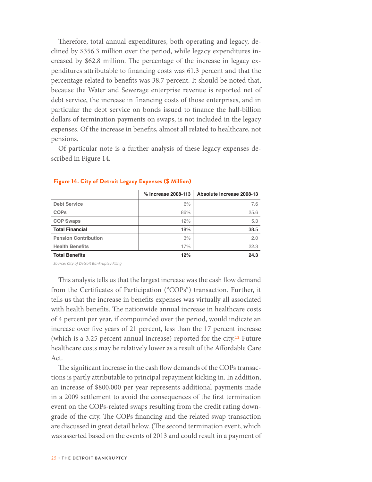Therefore, total annual expenditures, both operating and legacy, declined by \$356.3 million over the period, while legacy expenditures increased by \$62.8 million. The percentage of the increase in legacy expenditures attributable to financing costs was 61.3 percent and that the percentage related to benefits was 38.7 percent. It should be noted that, because the Water and Sewerage enterprise revenue is reported net of debt service, the increase in financing costs of those enterprises, and in particular the debt service on bonds issued to finance the half-billion dollars of termination payments on swaps, is not included in the legacy expenses. Of the increase in benefits, almost all related to healthcare, not pensions.

Of particular note is a further analysis of these legacy expenses described in Figure 14.

|                             | % Increase 2008-113 | Absolute Increase 2008-13 |
|-----------------------------|---------------------|---------------------------|
| <b>Debt Service</b>         | 6%                  | 7.6                       |
| <b>COPs</b>                 | 86%                 | 25.6                      |
| <b>COP Swaps</b>            | 12%                 | 5.3                       |
| <b>Total Financial</b>      | 18%                 | 38.5                      |
| <b>Pension Contribution</b> | 3%                  | 2.0                       |
| <b>Health Benefits</b>      | 17%                 | 22.3                      |
| <b>Total Benefits</b>       | 12%                 | 24.3                      |

#### **Figure 14. City of Detroit Legacy Expenses (\$ Million)**

*Source: City of Detroit Bankruptcy Filing*

This analysis tells us that the largest increase was the cash flow demand from the Certificates of Participation ("COPs") transaction. Further, it tells us that the increase in benefits expenses was virtually all associated with health benefits. The nationwide annual increase in healthcare costs of 4 percent per year, if compounded over the period, would indicate an increase over five years of 21 percent, less than the 17 percent increase (which is a 3.25 percent annual increase) reported for the city.12 Future healthcare costs may be relatively lower as a result of the Affordable Care Act.

The significant increase in the cash flow demands of the COPs transactions is partly attributable to principal repayment kicking in. In addition, an increase of \$800,000 per year represents additional payments made in a 2009 settlement to avoid the consequences of the first termination event on the COPs-related swaps resulting from the credit rating downgrade of the city. The COPs financing and the related swap transaction are discussed in great detail below. (The second termination event, which was asserted based on the events of 2013 and could result in a payment of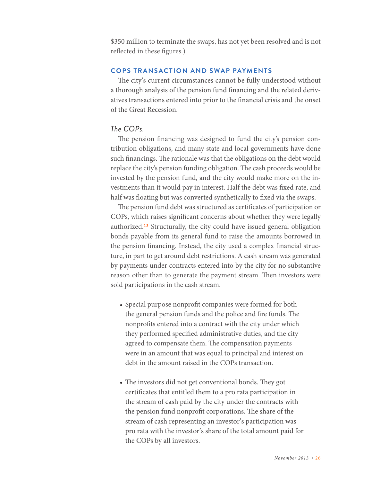\$350 million to terminate the swaps, has not yet been resolved and is not reflected in these figures.)

#### **COPS TRANSACTION AND SWAP PAYMENTS**

The city's current circumstances cannot be fully understood without a thorough analysis of the pension fund financing and the related derivatives transactions entered into prior to the financial crisis and the onset of the Great Recession.

#### *The COPs.*

The pension financing was designed to fund the city's pension contribution obligations, and many state and local governments have done such financings. The rationale was that the obligations on the debt would replace the city's pension funding obligation. The cash proceeds would be invested by the pension fund, and the city would make more on the investments than it would pay in interest. Half the debt was fixed rate, and half was floating but was converted synthetically to fixed via the swaps.

The pension fund debt was structured as certificates of participation or COPs, which raises significant concerns about whether they were legally authorized.13 Structurally, the city could have issued general obligation bonds payable from its general fund to raise the amounts borrowed in the pension financing. Instead, the city used a complex financial structure, in part to get around debt restrictions. A cash stream was generated by payments under contracts entered into by the city for no substantive reason other than to generate the payment stream. Then investors were sold participations in the cash stream.

- Special purpose nonprofit companies were formed for both the general pension funds and the police and fire funds. The nonprofits entered into a contract with the city under which they performed specified administrative duties, and the city agreed to compensate them. The compensation payments were in an amount that was equal to principal and interest on debt in the amount raised in the COPs transaction.
- The investors did not get conventional bonds. They got certificates that entitled them to a pro rata participation in the stream of cash paid by the city under the contracts with the pension fund nonprofit corporations. The share of the stream of cash representing an investor's participation was pro rata with the investor's share of the total amount paid for the COPs by all investors.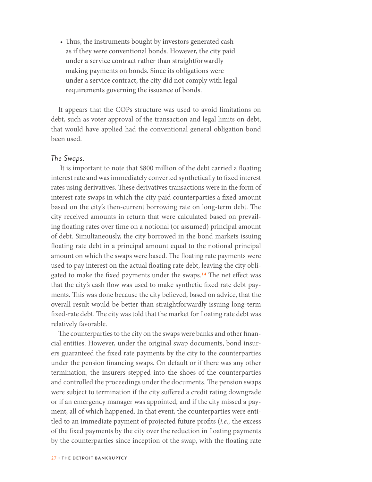• Thus, the instruments bought by investors generated cash as if they were conventional bonds. However, the city paid under a service contract rather than straightforwardly making payments on bonds. Since its obligations were under a service contract, the city did not comply with legal requirements governing the issuance of bonds.

It appears that the COPs structure was used to avoid limitations on debt, such as voter approval of the transaction and legal limits on debt, that would have applied had the conventional general obligation bond been used.

#### *The Swaps.*

 It is important to note that \$800 million of the debt carried a floating interest rate and was immediately converted synthetically to fixed interest rates using derivatives. These derivatives transactions were in the form of interest rate swaps in which the city paid counterparties a fixed amount based on the city's then-current borrowing rate on long-term debt. The city received amounts in return that were calculated based on prevailing floating rates over time on a notional (or assumed) principal amount of debt. Simultaneously, the city borrowed in the bond markets issuing floating rate debt in a principal amount equal to the notional principal amount on which the swaps were based. The floating rate payments were used to pay interest on the actual floating rate debt, leaving the city obligated to make the fixed payments under the swaps.<sup>14</sup> The net effect was that the city's cash flow was used to make synthetic fixed rate debt payments. This was done because the city believed, based on advice, that the overall result would be better than straightforwardly issuing long-term fixed-rate debt. The city was told that the market for floating rate debt was relatively favorable.

The counterparties to the city on the swaps were banks and other financial entities. However, under the original swap documents, bond insurers guaranteed the fixed rate payments by the city to the counterparties under the pension financing swaps. On default or if there was any other termination, the insurers stepped into the shoes of the counterparties and controlled the proceedings under the documents. The pension swaps were subject to termination if the city suffered a credit rating downgrade or if an emergency manager was appointed, and if the city missed a payment, all of which happened. In that event, the counterparties were entitled to an immediate payment of projected future profits (*i.e.,* the excess of the fixed payments by the city over the reduction in floating payments by the counterparties since inception of the swap, with the floating rate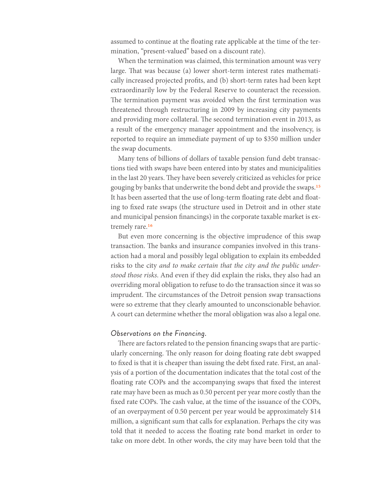assumed to continue at the floating rate applicable at the time of the termination, "present-valued" based on a discount rate).

When the termination was claimed, this termination amount was very large. That was because (a) lower short-term interest rates mathematically increased projected profits, and (b) short-term rates had been kept extraordinarily low by the Federal Reserve to counteract the recession. The termination payment was avoided when the first termination was threatened through restructuring in 2009 by increasing city payments and providing more collateral. The second termination event in 2013, as a result of the emergency manager appointment and the insolvency, is reported to require an immediate payment of up to \$350 million under the swap documents.

Many tens of billions of dollars of taxable pension fund debt transactions tied with swaps have been entered into by states and municipalities in the last 20 years. They have been severely criticized as vehicles for price gouging by banks that underwrite the bond debt and provide the swaps.15 It has been asserted that the use of long-term floating rate debt and floating to fixed rate swaps (the structure used in Detroit and in other state and municipal pension financings) in the corporate taxable market is extremely rare.<sup>16</sup>

But even more concerning is the objective imprudence of this swap transaction. The banks and insurance companies involved in this transaction had a moral and possibly legal obligation to explain its embedded risks to the city *and to make certain that the city and the public understood those risks*. And even if they did explain the risks, they also had an overriding moral obligation to refuse to do the transaction since it was so imprudent. The circumstances of the Detroit pension swap transactions were so extreme that they clearly amounted to unconscionable behavior. A court can determine whether the moral obligation was also a legal one.

#### *Observations on the Financing.*

There are factors related to the pension financing swaps that are particularly concerning. The only reason for doing floating rate debt swapped to fixed is that it is cheaper than issuing the debt fixed rate. First, an analysis of a portion of the documentation indicates that the total cost of the floating rate COPs and the accompanying swaps that fixed the interest rate may have been as much as 0.50 percent per year more costly than the fixed rate COPs. The cash value, at the time of the issuance of the COPs, of an overpayment of 0.50 percent per year would be approximately \$14 million, a significant sum that calls for explanation. Perhaps the city was told that it needed to access the floating rate bond market in order to take on more debt. In other words, the city may have been told that the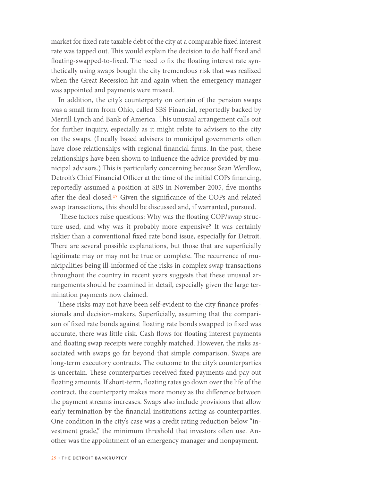market for fixed rate taxable debt of the city at a comparable fixed interest rate was tapped out. This would explain the decision to do half fixed and floating-swapped-to-fixed. The need to fix the floating interest rate synthetically using swaps bought the city tremendous risk that was realized when the Great Recession hit and again when the emergency manager was appointed and payments were missed.

In addition, the city's counterparty on certain of the pension swaps was a small firm from Ohio, called SBS Financial, reportedly backed by Merrill Lynch and Bank of America. This unusual arrangement calls out for further inquiry, especially as it might relate to advisers to the city on the swaps. (Locally based advisers to municipal governments often have close relationships with regional financial firms. In the past, these relationships have been shown to influence the advice provided by municipal advisors.) This is particularly concerning because Sean Werdlow, Detroit's Chief Financial Officer at the time of the initial COPs financing, reportedly assumed a position at SBS in November 2005, five months after the deal closed.17 Given the significance of the COPs and related swap transactions, this should be discussed and, if warranted, pursued.

 These factors raise questions: Why was the floating COP/swap structure used, and why was it probably more expensive? It was certainly riskier than a conventional fixed rate bond issue, especially for Detroit. There are several possible explanations, but those that are superficially legitimate may or may not be true or complete. The recurrence of municipalities being ill-informed of the risks in complex swap transactions throughout the country in recent years suggests that these unusual arrangements should be examined in detail, especially given the large termination payments now claimed.

These risks may not have been self-evident to the city finance professionals and decision-makers. Superficially, assuming that the comparison of fixed rate bonds against floating rate bonds swapped to fixed was accurate, there was little risk. Cash flows for floating interest payments and floating swap receipts were roughly matched. However, the risks associated with swaps go far beyond that simple comparison. Swaps are long-term executory contracts. The outcome to the city's counterparties is uncertain. These counterparties received fixed payments and pay out floating amounts. If short-term, floating rates go down over the life of the contract, the counterparty makes more money as the difference between the payment streams increases. Swaps also include provisions that allow early termination by the financial institutions acting as counterparties. One condition in the city's case was a credit rating reduction below "investment grade," the minimum threshold that investors often use. Another was the appointment of an emergency manager and nonpayment.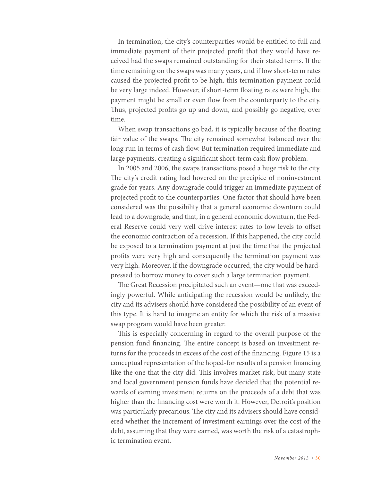In termination, the city's counterparties would be entitled to full and immediate payment of their projected profit that they would have received had the swaps remained outstanding for their stated terms. If the time remaining on the swaps was many years, and if low short-term rates caused the projected profit to be high, this termination payment could be very large indeed. However, if short-term floating rates were high, the payment might be small or even flow from the counterparty to the city. Thus, projected profits go up and down, and possibly go negative, over time.

When swap transactions go bad, it is typically because of the floating fair value of the swaps. The city remained somewhat balanced over the long run in terms of cash flow. But termination required immediate and large payments, creating a significant short-term cash flow problem.

In 2005 and 2006, the swaps transactions posed a huge risk to the city. The city's credit rating had hovered on the precipice of noninvestment grade for years. Any downgrade could trigger an immediate payment of projected profit to the counterparties. One factor that should have been considered was the possibility that a general economic downturn could lead to a downgrade, and that, in a general economic downturn, the Federal Reserve could very well drive interest rates to low levels to offset the economic contraction of a recession. If this happened, the city could be exposed to a termination payment at just the time that the projected profits were very high and consequently the termination payment was very high. Moreover, if the downgrade occurred, the city would be hardpressed to borrow money to cover such a large termination payment.

The Great Recession precipitated such an event—one that was exceedingly powerful. While anticipating the recession would be unlikely, the city and its advisers should have considered the possibility of an event of this type. It is hard to imagine an entity for which the risk of a massive swap program would have been greater.

This is especially concerning in regard to the overall purpose of the pension fund financing. The entire concept is based on investment returns for the proceeds in excess of the cost of the financing. Figure 15 is a conceptual representation of the hoped-for results of a pension financing like the one that the city did. This involves market risk, but many state and local government pension funds have decided that the potential rewards of earning investment returns on the proceeds of a debt that was higher than the financing cost were worth it. However, Detroit's position was particularly precarious. The city and its advisers should have considered whether the increment of investment earnings over the cost of the debt, assuming that they were earned, was worth the risk of a catastrophic termination event.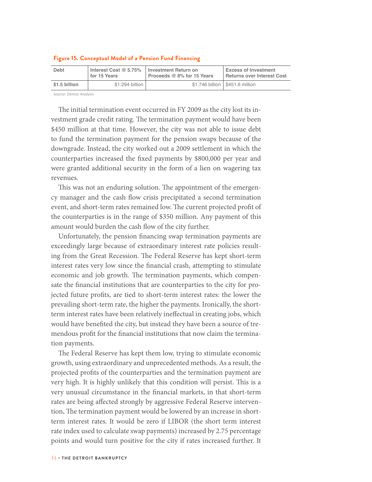| <b>Debt</b>   | Interest Cost $@$ 5.75% | Investment Return on       | <b>Excess of Investment</b>       |
|---------------|-------------------------|----------------------------|-----------------------------------|
|               | l for 15 Years          | Proceeds @ 8% for 15 Years | Returns over Interest Cost        |
| \$1.5 billion | \$1.294 billion         |                            | \$1.746 billion   \$451.6 million |

#### **Figure 15. Conceptual Model of a Pension Fund Financing**

*Source: Demos Analysis*

The initial termination event occurred in FY 2009 as the city lost its investment grade credit rating. The termination payment would have been \$450 million at that time. However, the city was not able to issue debt to fund the termination payment for the pension swaps because of the downgrade. Instead, the city worked out a 2009 settlement in which the counterparties increased the fixed payments by \$800,000 per year and were granted additional security in the form of a lien on wagering tax revenues.

This was not an enduring solution. The appointment of the emergency manager and the cash flow crisis precipitated a second termination event, and short-term rates remained low. The current projected profit of the counterparties is in the range of \$350 million. Any payment of this amount would burden the cash flow of the city further.

Unfortunately, the pension financing swap termination payments are exceedingly large because of extraordinary interest rate policies resulting from the Great Recession. The Federal Reserve has kept short-term interest rates very low since the financial crash, attempting to stimulate economic and job growth. The termination payments, which compensate the financial institutions that are counterparties to the city for projected future profits, are tied to short-term interest rates: the lower the prevailing short-term rate, the higher the payments. Ironically, the shortterm interest rates have been relatively ineffectual in creating jobs, which would have benefited the city, but instead they have been a source of tremendous profit for the financial institutions that now claim the termination payments.

The Federal Reserve has kept them low, trying to stimulate economic growth, using extraordinary and unprecedented methods. As a result, the projected profits of the counterparties and the termination payment are very high. It is highly unlikely that this condition will persist. This is a very unusual circumstance in the financial markets, in that short-term rates are being affected strongly by aggressive Federal Reserve intervention**.** The termination payment would be lowered by an increase in shortterm interest rates. It would be zero if LIBOR (the short term interest rate index used to calculate swap payments) increased by 2.75 percentage points and would turn positive for the city if rates increased further. It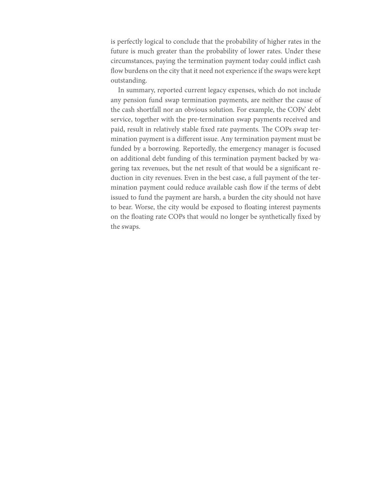is perfectly logical to conclude that the probability of higher rates in the future is much greater than the probability of lower rates. Under these circumstances, paying the termination payment today could inflict cash flow burdens on the city that it need not experience if the swaps were kept outstanding.

In summary, reported current legacy expenses, which do not include any pension fund swap termination payments, are neither the cause of the cash shortfall nor an obvious solution. For example, the COPs' debt service, together with the pre-termination swap payments received and paid, result in relatively stable fixed rate payments. The COPs swap termination payment is a different issue. Any termination payment must be funded by a borrowing. Reportedly, the emergency manager is focused on additional debt funding of this termination payment backed by wagering tax revenues, but the net result of that would be a significant reduction in city revenues. Even in the best case, a full payment of the termination payment could reduce available cash flow if the terms of debt issued to fund the payment are harsh, a burden the city should not have to bear. Worse, the city would be exposed to floating interest payments on the floating rate COPs that would no longer be synthetically fixed by the swaps.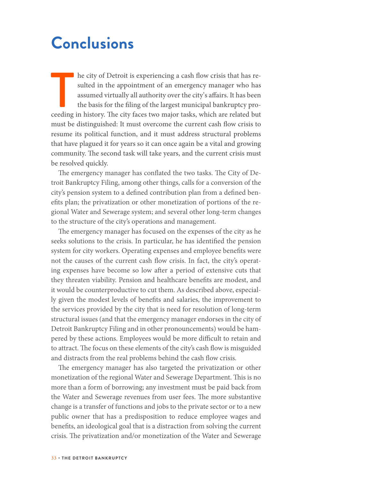### **Conclusions**

In the city of Detroit is experiencing a cash flow crisis that has resulted in the appointment of an emergency manager who has assumed virtually all authority over the city's affairs. It has been the basis for the filing o he city of Detroit is experiencing a cash flow crisis that has resulted in the appointment of an emergency manager who has assumed virtually all authority over the city's affairs. It has been the basis for the filing of the largest municipal bankruptcy promust be distinguished: It must overcome the current cash flow crisis to resume its political function, and it must address structural problems that have plagued it for years so it can once again be a vital and growing community. The second task will take years, and the current crisis must be resolved quickly.

The emergency manager has conflated the two tasks. The City of Detroit Bankruptcy Filing, among other things, calls for a conversion of the city's pension system to a defined contribution plan from a defined benefits plan; the privatization or other monetization of portions of the regional Water and Sewerage system; and several other long-term changes to the structure of the city's operations and management.

The emergency manager has focused on the expenses of the city as he seeks solutions to the crisis. In particular, he has identified the pension system for city workers. Operating expenses and employee benefits were not the causes of the current cash flow crisis. In fact, the city's operating expenses have become so low after a period of extensive cuts that they threaten viability. Pension and healthcare benefits are modest, and it would be counterproductive to cut them. As described above, especially given the modest levels of benefits and salaries, the improvement to the services provided by the city that is need for resolution of long-term structural issues (and that the emergency manager endorses in the city of Detroit Bankruptcy Filing and in other pronouncements) would be hampered by these actions. Employees would be more difficult to retain and to attract. The focus on these elements of the city's cash flow is misguided and distracts from the real problems behind the cash flow crisis.

The emergency manager has also targeted the privatization or other monetization of the regional Water and Sewerage Department. This is no more than a form of borrowing; any investment must be paid back from the Water and Sewerage revenues from user fees. The more substantive change is a transfer of functions and jobs to the private sector or to a new public owner that has a predisposition to reduce employee wages and benefits, an ideological goal that is a distraction from solving the current crisis. The privatization and/or monetization of the Water and Sewerage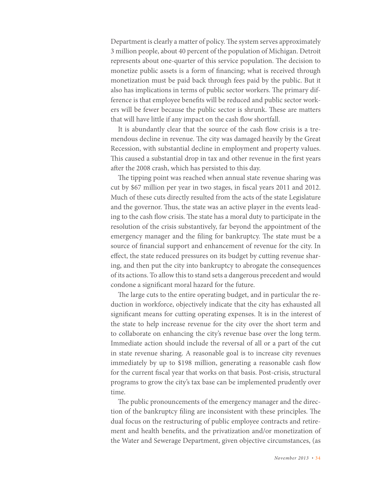Department is clearly a matter of policy. The system serves approximately 3 million people, about 40 percent of the population of Michigan. Detroit represents about one-quarter of this service population. The decision to monetize public assets is a form of financing; what is received through monetization must be paid back through fees paid by the public. But it also has implications in terms of public sector workers. The primary difference is that employee benefits will be reduced and public sector workers will be fewer because the public sector is shrunk. These are matters that will have little if any impact on the cash flow shortfall.

It is abundantly clear that the source of the cash flow crisis is a tremendous decline in revenue. The city was damaged heavily by the Great Recession, with substantial decline in employment and property values. This caused a substantial drop in tax and other revenue in the first years after the 2008 crash, which has persisted to this day.

The tipping point was reached when annual state revenue sharing was cut by \$67 million per year in two stages, in fiscal years 2011 and 2012. Much of these cuts directly resulted from the acts of the state Legislature and the governor. Thus, the state was an active player in the events leading to the cash flow crisis. The state has a moral duty to participate in the resolution of the crisis substantively, far beyond the appointment of the emergency manager and the filing for bankruptcy. The state must be a source of financial support and enhancement of revenue for the city. In effect, the state reduced pressures on its budget by cutting revenue sharing, and then put the city into bankruptcy to abrogate the consequences of its actions. To allow this to stand sets a dangerous precedent and would condone a significant moral hazard for the future.

The large cuts to the entire operating budget, and in particular the reduction in workforce, objectively indicate that the city has exhausted all significant means for cutting operating expenses. It is in the interest of the state to help increase revenue for the city over the short term and to collaborate on enhancing the city's revenue base over the long term. Immediate action should include the reversal of all or a part of the cut in state revenue sharing. A reasonable goal is to increase city revenues immediately by up to \$198 million, generating a reasonable cash flow for the current fiscal year that works on that basis. Post-crisis, structural programs to grow the city's tax base can be implemented prudently over time.

The public pronouncements of the emergency manager and the direction of the bankruptcy filing are inconsistent with these principles. The dual focus on the restructuring of public employee contracts and retirement and health benefits, and the privatization and/or monetization of the Water and Sewerage Department, given objective circumstances, (as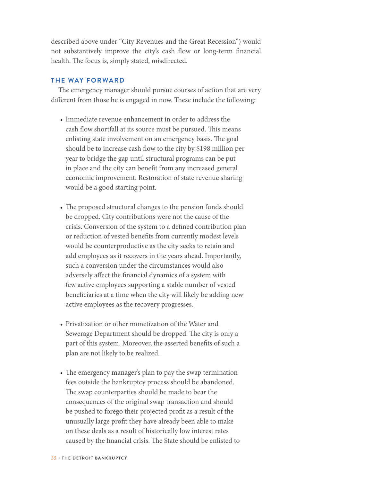described above under "City Revenues and the Great Recession") would not substantively improve the city's cash flow or long-term financial health. The focus is, simply stated, misdirected.

#### **THE WAY FORWARD**

The emergency manager should pursue courses of action that are very different from those he is engaged in now. These include the following:

- Immediate revenue enhancement in order to address the cash flow shortfall at its source must be pursued. This means enlisting state involvement on an emergency basis. The goal should be to increase cash flow to the city by \$198 million per year to bridge the gap until structural programs can be put in place and the city can benefit from any increased general economic improvement. Restoration of state revenue sharing would be a good starting point.
- The proposed structural changes to the pension funds should be dropped. City contributions were not the cause of the crisis. Conversion of the system to a defined contribution plan or reduction of vested benefits from currently modest levels would be counterproductive as the city seeks to retain and add employees as it recovers in the years ahead. Importantly, such a conversion under the circumstances would also adversely affect the financial dynamics of a system with few active employees supporting a stable number of vested beneficiaries at a time when the city will likely be adding new active employees as the recovery progresses.
- Privatization or other monetization of the Water and Sewerage Department should be dropped. The city is only a part of this system. Moreover, the asserted benefits of such a plan are not likely to be realized.
- The emergency manager's plan to pay the swap termination fees outside the bankruptcy process should be abandoned. The swap counterparties should be made to bear the consequences of the original swap transaction and should be pushed to forego their projected profit as a result of the unusually large profit they have already been able to make on these deals as a result of historically low interest rates caused by the financial crisis. The State should be enlisted to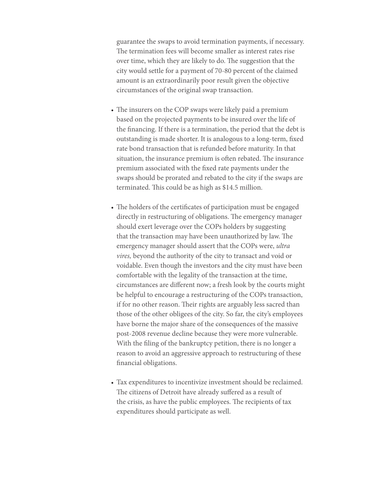guarantee the swaps to avoid termination payments, if necessary. The termination fees will become smaller as interest rates rise over time, which they are likely to do. The suggestion that the city would settle for a payment of 70-80 percent of the claimed amount is an extraordinarily poor result given the objective circumstances of the original swap transaction.

- The insurers on the COP swaps were likely paid a premium based on the projected payments to be insured over the life of the financing. If there is a termination, the period that the debt is outstanding is made shorter. It is analogous to a long-term, fixed rate bond transaction that is refunded before maturity. In that situation, the insurance premium is often rebated. The insurance premium associated with the fixed rate payments under the swaps should be prorated and rebated to the city if the swaps are terminated. This could be as high as \$14.5 million.
- The holders of the certificates of participation must be engaged directly in restructuring of obligations. The emergency manager should exert leverage over the COPs holders by suggesting that the transaction may have been unauthorized by law. The emergency manager should assert that the COPs were, *ultra vires,* beyond the authority of the city to transact and void or voidable. Even though the investors and the city must have been comfortable with the legality of the transaction at the time, circumstances are different now; a fresh look by the courts might be helpful to encourage a restructuring of the COPs transaction, if for no other reason. Their rights are arguably less sacred than those of the other obligees of the city. So far, the city's employees have borne the major share of the consequences of the massive post-2008 revenue decline because they were more vulnerable. With the filing of the bankruptcy petition, there is no longer a reason to avoid an aggressive approach to restructuring of these financial obligations.
- Tax expenditures to incentivize investment should be reclaimed. The citizens of Detroit have already suffered as a result of the crisis, as have the public employees. The recipients of tax expenditures should participate as well.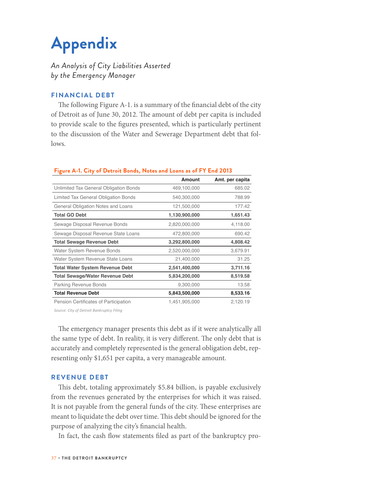# **Appendix**

*An Analysis of City Liabilities Asserted by the Emergency Manager*

#### **FINANCIAL DEBT**

The following Figure A-1. is a summary of the financial debt of the city of Detroit as of June 30, 2012. The amount of debt per capita is included to provide scale to the figures presented, which is particularly pertinent to the discussion of the Water and Sewerage Department debt that follows.

|                                        | <b>Amount</b> | Amt. per capita |
|----------------------------------------|---------------|-----------------|
| Unlimited Tax General Obligation Bonds | 469,100,000   | 685.02          |
| Limited Tax General Obligation Bonds   | 540,300,000   | 788.99          |
| General Obligation Notes and Loans     | 121,500,000   | 177.42          |
| <b>Total GO Debt</b>                   | 1,130,900,000 | 1,651.43        |
| Sewage Disposal Revenue Bonds          | 2,820,000,000 | 4,118.00        |
| Sewage Disposal Revenue State Loans    | 472,800,000   | 690.42          |
| <b>Total Sewage Revenue Debt</b>       | 3,292,800,000 | 4,808.42        |
| Water System Revenue Bonds             | 2,520,000,000 | 3,679.91        |
| Water System Revenue State Loans       | 21,400,000    | 31.25           |
| <b>Total Water System Revenue Debt</b> | 2,541,400,000 | 3,711.16        |
| <b>Total Sewage/Water Revenue Debt</b> | 5,834,200,000 | 8,519.58        |
| <b>Parking Revenue Bonds</b>           | 9,300,000     | 13.58           |
| <b>Total Revenue Debt</b>              | 5,843,500,000 | 8,533.16        |
| Pension Certificates of Participation  | 1,451,905,000 | 2,120.19        |

#### **Figure A-1. City of Detroit Bonds, Notes and Loans as of FY End 2013**

*Source: City of Detroit Bankruptcy Filing*

The emergency manager presents this debt as if it were analytically all the same type of debt. In reality, it is very different. The only debt that is accurately and completely represented is the general obligation debt, representing only \$1,651 per capita, a very manageable amount.

#### **REVENUE DEBT**

This debt, totaling approximately \$5.84 billion, is payable exclusively from the revenues generated by the enterprises for which it was raised. It is not payable from the general funds of the city. These enterprises are meant to liquidate the debt over time. This debt should be ignored for the purpose of analyzing the city's financial health.

In fact, the cash flow statements filed as part of the bankruptcy pro-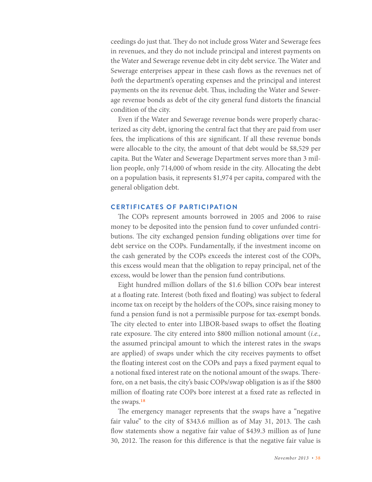ceedings do just that. They do not include gross Water and Sewerage fees in revenues, and they do not include principal and interest payments on the Water and Sewerage revenue debt in city debt service. The Water and Sewerage enterprises appear in these cash flows as the revenues net of *both* the department's operating expenses and the principal and interest payments on the its revenue debt. Thus, including the Water and Sewerage revenue bonds as debt of the city general fund distorts the financial condition of the city.

Even if the Water and Sewerage revenue bonds were properly characterized as city debt, ignoring the central fact that they are paid from user fees, the implications of this are significant. If all these revenue bonds were allocable to the city, the amount of that debt would be \$8,529 per capita. But the Water and Sewerage Department serves more than 3 million people, only 714,000 of whom reside in the city. Allocating the debt on a population basis, it represents \$1,974 per capita, compared with the general obligation debt.

#### **CERTIFICATES OF PARTICIPATION**

The COPs represent amounts borrowed in 2005 and 2006 to raise money to be deposited into the pension fund to cover unfunded contributions. The city exchanged pension funding obligations over time for debt service on the COPs. Fundamentally, if the investment income on the cash generated by the COPs exceeds the interest cost of the COPs, this excess would mean that the obligation to repay principal, net of the excess, would be lower than the pension fund contributions.

Eight hundred million dollars of the \$1.6 billion COPs bear interest at a floating rate. Interest (both fixed and floating) was subject to federal income tax on receipt by the holders of the COPs, since raising money to fund a pension fund is not a permissible purpose for tax-exempt bonds. The city elected to enter into LIBOR-based swaps to offset the floating rate exposure. The city entered into \$800 million notional amount (*i.e.,* the assumed principal amount to which the interest rates in the swaps are applied) of swaps under which the city receives payments to offset the floating interest cost on the COPs and pays a fixed payment equal to a notional fixed interest rate on the notional amount of the swaps. Therefore, on a net basis, the city's basic COPs/swap obligation is as if the \$800 million of floating rate COPs bore interest at a fixed rate as reflected in the swaps.18

The emergency manager represents that the swaps have a "negative fair value" to the city of \$343.6 million as of May 31, 2013. The cash flow statements show a negative fair value of \$439.3 million as of June 30, 2012. The reason for this difference is that the negative fair value is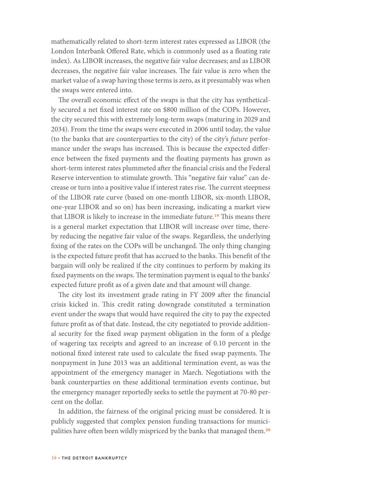mathematically related to short-term interest rates expressed as LIBOR (the London Interbank Offered Rate, which is commonly used as a floating rate index). As LIBOR increases, the negative fair value decreases; and as LIBOR decreases, the negative fair value increases. The fair value is zero when the market value of a swap having those terms is zero, as it presumably was when the swaps were entered into.

The overall economic effect of the swaps is that the city has synthetically secured a net fixed interest rate on \$800 million of the COPs. However, the city secured this with extremely long-term swaps (maturing in 2029 and 2034). From the time the swaps were executed in 2006 until today, the value (to the banks that are counterparties to the city) of the city's *future* performance under the swaps has increased. This is because the expected difference between the fixed payments and the floating payments has grown as short-term interest rates plummeted after the financial crisis and the Federal Reserve intervention to stimulate growth. This "negative fair value" can decrease or turn into a positive value if interest rates rise. The current steepness of the LIBOR rate curve (based on one-month LIBOR, six-month LIBOR, one-year LIBOR and so on) has been increasing, indicating a market view that LIBOR is likely to increase in the immediate future.19 This means there is a general market expectation that LIBOR will increase over time, thereby reducing the negative fair value of the swaps. Regardless, the underlying fixing of the rates on the COPs will be unchanged. The only thing changing is the expected future profit that has accrued to the banks. This benefit of the bargain will only be realized if the city continues to perform by making its fixed payments on the swaps. The termination payment is equal to the banks' expected future profit as of a given date and that amount will change.

The city lost its investment grade rating in FY 2009 after the financial crisis kicked in. This credit rating downgrade constituted a termination event under the swaps that would have required the city to pay the expected future profit as of that date. Instead, the city negotiated to provide additional security for the fixed swap payment obligation in the form of a pledge of wagering tax receipts and agreed to an increase of 0.10 percent in the notional fixed interest rate used to calculate the fixed swap payments. The nonpayment in June 2013 was an additional termination event, as was the appointment of the emergency manager in March. Negotiations with the bank counterparties on these additional termination events continue, but the emergency manager reportedly seeks to settle the payment at 70-80 percent on the dollar.

In addition, the fairness of the original pricing must be considered. It is publicly suggested that complex pension funding transactions for municipalities have often been wildly mispriced by the banks that managed them.<sup>20</sup>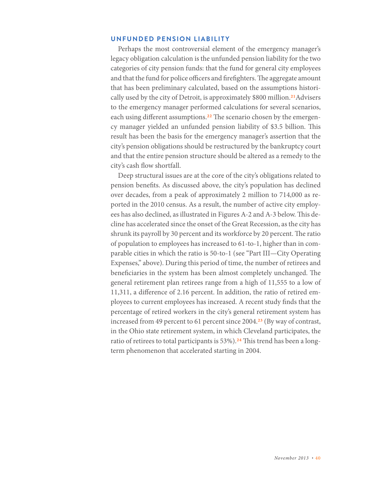#### **UNFUNDED PENSION LIABILITY**

Perhaps the most controversial element of the emergency manager's legacy obligation calculation is the unfunded pension liability for the two categories of city pension funds: that the fund for general city employees and that the fund for police officers and firefighters. The aggregate amount that has been preliminary calculated, based on the assumptions historically used by the city of Detroit, is approximately \$800 million.<sup>21</sup>Advisers to the emergency manager performed calculations for several scenarios, each using different assumptions.<sup>22</sup> The scenario chosen by the emergency manager yielded an unfunded pension liability of \$3.5 billion. This result has been the basis for the emergency manager's assertion that the city's pension obligations should be restructured by the bankruptcy court and that the entire pension structure should be altered as a remedy to the city's cash flow shortfall.

Deep structural issues are at the core of the city's obligations related to pension benefits. As discussed above, the city's population has declined over decades, from a peak of approximately 2 million to 714,000 as reported in the 2010 census. As a result, the number of active city employees has also declined, as illustrated in Figures A-2 and A-3 below. This decline has accelerated since the onset of the Great Recession, as the city has shrunk its payroll by 30 percent and its workforce by 20 percent. The ratio of population to employees has increased to 61-to-1, higher than in comparable cities in which the ratio is 50-to-1 (see "Part III—City Operating Expenses," above). During this period of time, the number of retirees and beneficiaries in the system has been almost completely unchanged. The general retirement plan retirees range from a high of 11,555 to a low of 11,311, a difference of 2.16 percent. In addition, the ratio of retired employees to current employees has increased. A recent study finds that the percentage of retired workers in the city's general retirement system has increased from 49 percent to 61 percent since 2004.<sup>23</sup> (By way of contrast, in the Ohio state retirement system, in which Cleveland participates, the ratio of retirees to total participants is 53%).<sup>24</sup> This trend has been a longterm phenomenon that accelerated starting in 2004.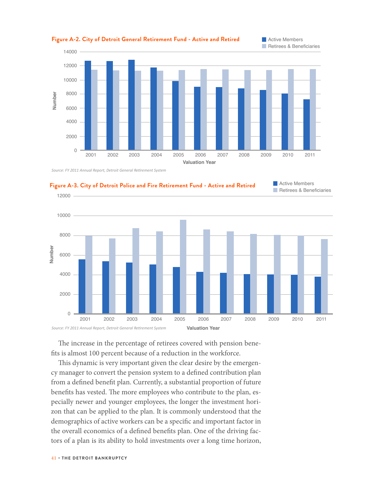

**Figure A-2. City of Detroit General Retirement Fund - Active and Retired Communisty Members** 

*Source: FY 2011 Annual Report, Detroit General Retirement System*





The increase in the percentage of retirees covered with pension benefits is almost 100 percent because of a reduction in the workforce.

This dynamic is very important given the clear desire by the emergency manager to convert the pension system to a defined contribution plan from a defined benefit plan. Currently, a substantial proportion of future benefits has vested. The more employees who contribute to the plan, especially newer and younger employees, the longer the investment horizon that can be applied to the plan. It is commonly understood that the demographics of active workers can be a specific and important factor in the overall economics of a defined benefits plan. One of the driving factors of a plan is its ability to hold investments over a long time horizon,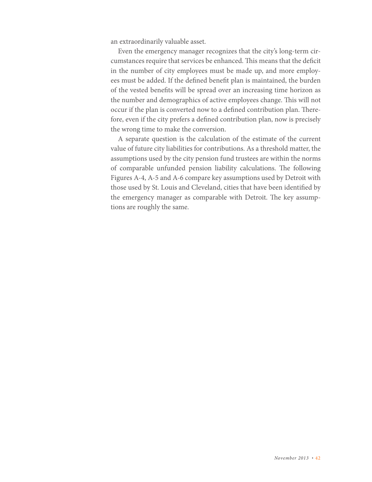an extraordinarily valuable asset.

Even the emergency manager recognizes that the city's long-term circumstances require that services be enhanced. This means that the deficit in the number of city employees must be made up, and more employees must be added. If the defined benefit plan is maintained, the burden of the vested benefits will be spread over an increasing time horizon as the number and demographics of active employees change. This will not occur if the plan is converted now to a defined contribution plan. Therefore, even if the city prefers a defined contribution plan, now is precisely the wrong time to make the conversion.

A separate question is the calculation of the estimate of the current value of future city liabilities for contributions. As a threshold matter, the assumptions used by the city pension fund trustees are within the norms of comparable unfunded pension liability calculations. The following Figures A-4, A-5 and A-6 compare key assumptions used by Detroit with those used by St. Louis and Cleveland, cities that have been identified by the emergency manager as comparable with Detroit. The key assumptions are roughly the same.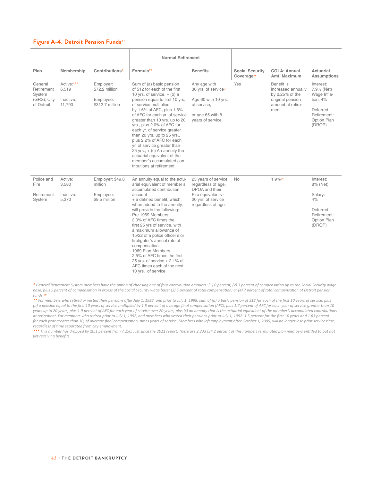#### **Figure A-4. Detroit Pension Funds**25

|                                                              |                                            |                                                             | <b>Normal Retirement</b>                                                                                                                                                                                                                                                                                                                                                                                                                                                                                                                  |                                                                                                                                |                                                  |                                                                                                       |                                                                                                          |
|--------------------------------------------------------------|--------------------------------------------|-------------------------------------------------------------|-------------------------------------------------------------------------------------------------------------------------------------------------------------------------------------------------------------------------------------------------------------------------------------------------------------------------------------------------------------------------------------------------------------------------------------------------------------------------------------------------------------------------------------------|--------------------------------------------------------------------------------------------------------------------------------|--------------------------------------------------|-------------------------------------------------------------------------------------------------------|----------------------------------------------------------------------------------------------------------|
| Plan                                                         | Membership                                 | Contributions*                                              | Formula**                                                                                                                                                                                                                                                                                                                                                                                                                                                                                                                                 | <b>Benefits</b>                                                                                                                | <b>Social Security</b><br>Coverage <sup>26</sup> | <b>COLA: Annual</b><br>Amt. Maximum                                                                   | Actuarial<br>Assumptions                                                                                 |
| General<br>Retirement<br>System<br>(GRS), City<br>of Detroit | Active:***<br>6,519<br>Inactive:<br>11,790 | Employer:<br>\$72.2 million<br>Employee:<br>\$312.7 million | Sum of (a) basic pension<br>of \$12 for each of the first<br>10 yrs. of service, $+$ (b) a<br>pension equal to first 10 yrs.<br>of service multiplied<br>by 1.6% of AFC, plus 1.8%<br>of AFC for each yr. of service<br>greater than 10 yrs. up to 20<br>yrs., plus 2.0% of AFC for<br>each yr. of service greater<br>than 20 yrs. up to 25 yrs.,<br>plus 2.2% of AFC for each<br>yr. of service greater than<br>25 yrs., $+$ (c) An annuity the<br>actuarial equivalent of the<br>member's accumulated con-<br>tributions at retirement. | Any age with<br>30 yrs. of service <sup>27</sup><br>Age 60 with 10 yrs.<br>of service,<br>or age 65 with 8<br>years of service | Yes                                              | Benefit is<br>increased annually<br>by 2.25% of the<br>original pension<br>amount at retire-<br>ment. | Interest:<br>7.9% (Net)<br>Wage Infla-<br>tion: $4%$<br>Deferred<br>Retirement:<br>Option Plan<br>(DROP) |
| Police and<br>Fire<br>Retirement<br>System                   | Active:<br>3,580<br>Inactive:<br>5,370     | Employer: \$49.8<br>million<br>Employee:<br>\$9.5 million   | An annuity equal to the actu-<br>arial equivalent of member's<br>accumulated contribution<br>account<br>+ a defined benefit, which,<br>when added to the annuity,<br>will provide the following:<br>Pre 1969 Members<br>2.0% of AFC times the<br>first 25 yrs of service, with<br>a maximum allowance of<br>15/22 of a police officer's or<br>firefighter's annual rate of<br>compensation.<br>1969 Plan Members<br>2.5% of AFC times the first<br>25 vrs. of service $+2.1\%$ of<br>AFC times each of the next<br>10 yrs. of service     | 25 years of service<br>regardless of age.<br>DPOA and their<br>Fire equivalents -<br>20 yrs. of service<br>regardless of age.  | <b>No</b>                                        | $1.9\%$ <sup>28</sup>                                                                                 | Interest:<br>8% (Net)<br>Salary:<br>4%<br>Deferred<br>Retirement:<br>Option Plan<br>(DROP)               |

*\* General Retirement System members have the option of choosing one of four contribution amounts: (1) 0 percent; (2) 3 percent of compensation up to the Social Security wage base, plus 5 percent of compensation in excess of the Social Security wage base; (3) 5 percent of total compensation; or (4) 7 percent of total compensation of Detroit pension funds.*29

*\*\* For members who retired or vested their pensions after July 1, 1992, and prior to July 1, 1998: sum of (a) a basic pension of \$12 for each of the first 10 years of service, plus (b) a pension equal to the first 10 years of service multiplied by 1.5 percent of average final compensation (AFC), plus 1.7 percent of AFC for each year of service greater than 10 years up to 20 years, plus 1.9 percent of AFC for each year of service over 20 years, plus (c) an annuity that is the actuarial equivalent of the member's accumulated contributions at retirement. For members who retired prior to July 1, 1992, and members who vested their pensions prior to July 1, 1992: 1.5 percent for the first 10 years and 1.63 percent*  for each year greater than 10, of average final compensation, times years of service. Members who left employment after October 1, 2005, will no longer lose prior service time, *regardless of time separated from city employment.*

*\*\*\* This number has dropped by 10.1 percent from 7,250, just since the 2011 report. There are 2,233 (34.2 percent of this number) terminated plan members entitled to but not yet receiving benefits.*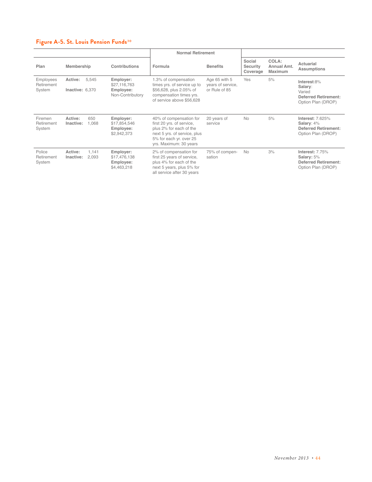#### **Figure A-5. St. Louis Pension Funds**30

|                                   |                            |                |                                                            | <b>Normal Retirement</b>                                                                                                                                             |                                                     |                                       |                                        |                                                                                            |
|-----------------------------------|----------------------------|----------------|------------------------------------------------------------|----------------------------------------------------------------------------------------------------------------------------------------------------------------------|-----------------------------------------------------|---------------------------------------|----------------------------------------|--------------------------------------------------------------------------------------------|
| Plan                              | Membership                 |                | Contributions                                              | Formula                                                                                                                                                              | <b>Benefits</b>                                     | Social<br><b>Security</b><br>Coverage | COLA:<br>Annual Amt.<br><b>Maximum</b> | Actuarial<br><b>Assumptions</b>                                                            |
| Employees<br>Retirement<br>System | Active:<br>Inactive: 6,370 | 5.545          | Employer:<br>\$27,116,763<br>Employee:<br>Non-Contributory | 1.3% of compensation<br>times yrs. of service up to<br>\$56,628, plus 2.05% of<br>compensation times yrs.<br>of service above \$56,628                               | Age 65 with 5<br>years of service,<br>or Rule of 85 | Yes                                   | 5%                                     | Interest:8%<br>Salary:<br>Varied<br><b>Deferred Retirement:</b><br>Option Plan (DROP)      |
| Firemen<br>Retirement<br>System   | Active:<br>Inactive:       | 650<br>1.068   | Employer:<br>\$17,854,546<br>Employee:<br>\$2,942,373      | 40% of compensation for<br>first 20 yrs. of service,<br>plus 2% for each of the<br>next 5 yrs. of service, plus<br>5% for each yr. over 25<br>yrs. Maximum: 30 years | 20 years of<br>service                              | <b>No</b>                             | 5%                                     | <b>Interest: 7.625%</b><br>Salary: 4%<br><b>Deferred Retirement:</b><br>Option Plan (DROP) |
| Police<br>Retirement<br>System    | Active:<br>Inactive:       | 1.141<br>2,093 | Employer:<br>\$17,476,138<br>Employee:<br>\$4,463,218      | 2% of compensation for<br>first 25 years of service,<br>plus 4% for each of the<br>next 5 years, plus 5% for<br>all service after 30 years                           | 75% of compen-<br>sation                            | <b>No</b>                             | 3%                                     | Interest: 7.75%<br>Salary: 5%<br><b>Deferred Retirement:</b><br>Option Plan (DROP)         |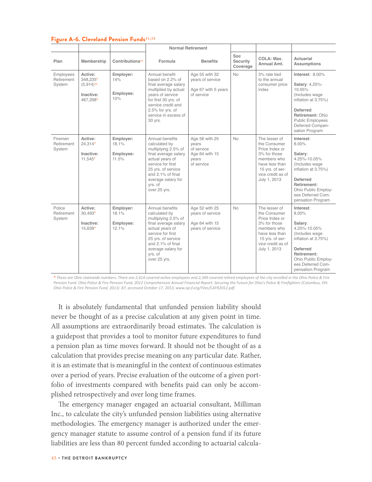|                                   |                                                                |                                          |                                                                                                                                                                                                                     | <b>Normal Retirement</b>                                                       |                             |                                                                                                                                                          |                                                                                                                                                                                              |
|-----------------------------------|----------------------------------------------------------------|------------------------------------------|---------------------------------------------------------------------------------------------------------------------------------------------------------------------------------------------------------------------|--------------------------------------------------------------------------------|-----------------------------|----------------------------------------------------------------------------------------------------------------------------------------------------------|----------------------------------------------------------------------------------------------------------------------------------------------------------------------------------------------|
| Plan                              | Membership                                                     | Contributions <sup>33</sup>              | Formula                                                                                                                                                                                                             | <b>Benefits</b>                                                                | Soc<br>Security<br>Coverage | COLA: Max.<br>Annual Amt.                                                                                                                                | Actuarial<br>Assumptions                                                                                                                                                                     |
| Employees<br>Retirement<br>System | Active:<br>348.235*<br>$(5,914)^{34}$<br>Inactive:<br>467,298* | Employer:<br>14%<br>Employee:<br>10%     | Annual benefit<br>based on 2.2% of<br>final average salary<br>multiplied by actual<br>years of service<br>for first 30 yrs. of<br>service credit and<br>2.5% for yrs. of<br>service in excess of<br>30 yrs.         | Age 55 with 32<br>vears of service<br>Age 67 with 5 years<br>of service        | <b>No</b>                   | 3% rate tied<br>to the annual<br>consumer price<br>index                                                                                                 | Interest: 8.00%<br>Salary: 4.25%-<br>10.05%<br>(Includes wage<br>inflation at 3.75%)<br><b>Deferred</b><br>Retirement: Ohio<br><b>Public Employees</b><br>Deferred Compen-<br>sation Program |
| Firemen<br>Retirement<br>System   | Active:<br>$24,314*$<br>Inactive:<br>$11.545*$                 | Employer:<br>18.1%<br>Employee:<br>11.5% | Annual benefits<br>calculated by<br>multiplying 2.5% of<br>final average salary<br>actual years of<br>service for first<br>25 yrs. of service<br>and 2.1% of final<br>average salary for<br>yrs. of<br>over 25 yrs. | Age 56 with 25<br>vears<br>of service<br>Age 64 with 15<br>vears<br>of service | <b>No</b>                   | The lesser of<br>the Consumer<br>Price Index or<br>3% for those<br>members who<br>have less than<br>15 yrs. of ser-<br>vice credit as of<br>July 1, 2013 | Interest:<br>8.00%<br>Salary:<br>4.25%-10.05%<br>(Includes wage<br>inflation at 3.75%)<br><b>Deferred</b><br>Retirement:<br>Ohio Public Employ-<br>ees Deferred Com-<br>pensation Program    |
| Police<br>Retirement<br>System    | Active:<br>$30.493*$<br>Inactive:<br>15,639*                   | Employer:<br>18.1%<br>Employee:<br>12.1% | Annual benefits<br>calculated by<br>multiplying 2.5% of<br>final average salary<br>actual vears of<br>service for first<br>25 yrs. of service<br>and 2.1% of final<br>average salary for<br>yrs. of<br>over 25 yrs. | Age 52 with 25<br>vears of service<br>Age 64 with 15<br>years of service       | <b>No</b>                   | The lesser of<br>the Consumer<br>Price Index or<br>3% for those<br>members who<br>have less than<br>15 yrs. of ser-<br>vice credit as of<br>July 1, 2013 | Interest:<br>8.00%<br>Salary:<br>4.25%-10.05%<br>(Includes wage<br>inflation at 3.75%)<br><b>Deferred</b><br>Retirement:<br>Ohio Public Employ-<br>ees Deferred Com-<br>pensation Program    |

#### **Figure A-6. Cleveland Pension Funds**31,32

*\* These are Ohio statewide numbers. There are 2,414 covered active employees and 2,349 covered retired employees of the city enrolled in the Ohio Police & Fire Pension Fund. Ohio Police & Fire Pension Fund, 2012 Comprehensive Annual Financial Report: Securing the Future for Ohio's Police & Firefighters (Columbus, OH: Ohio Police & Fire Pension Fund, 2013) 87, accessed October 17, 2013, www.op-f.org/Files/CAFR2012.pdf.* 

It is absolutely fundamental that unfunded pension liability should never be thought of as a precise calculation at any given point in time. All assumptions are extraordinarily broad estimates. The calculation is a guidepost that provides a tool to monitor future expenditures to fund a pension plan as time moves forward. It should not be thought of as a calculation that provides precise meaning on any particular date. Rather, it is an estimate that is meaningful in the context of continuous estimates over a period of years. Precise evaluation of the outcome of a given portfolio of investments compared with benefits paid can only be accomplished retrospectively and over long time frames.

The emergency manager engaged an actuarial consultant, Milliman Inc., to calculate the city's unfunded pension liabilities using alternative methodologies. The emergency manager is authorized under the emergency manager statute to assume control of a pension fund if its future liabilities are less than 80 percent funded according to actuarial calcula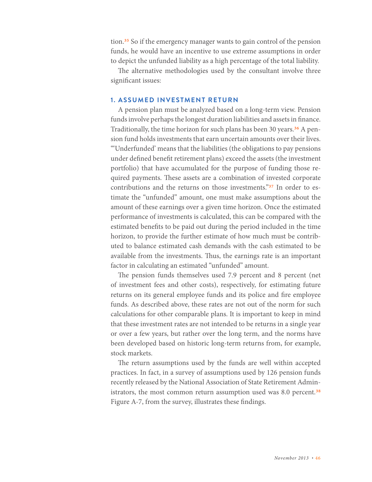tion.35 So if the emergency manager wants to gain control of the pension funds, he would have an incentive to use extreme assumptions in order to depict the unfunded liability as a high percentage of the total liability.

The alternative methodologies used by the consultant involve three significant issues:

#### **1. ASSUMED INVESTMENT RETURN**

A pension plan must be analyzed based on a long-term view. Pension funds involve perhaps the longest duration liabilities and assets in finance. Traditionally, the time horizon for such plans has been 30 years.<sup>36</sup> A pension fund holds investments that earn uncertain amounts over their lives. "'Underfunded' means that the liabilities (the obligations to pay pensions under defined benefit retirement plans) exceed the assets (the investment portfolio) that have accumulated for the purpose of funding those required payments. These assets are a combination of invested corporate contributions and the returns on those investments."37 In order to estimate the "unfunded" amount, one must make assumptions about the amount of these earnings over a given time horizon. Once the estimated performance of investments is calculated, this can be compared with the estimated benefits to be paid out during the period included in the time horizon, to provide the further estimate of how much must be contributed to balance estimated cash demands with the cash estimated to be available from the investments. Thus, the earnings rate is an important factor in calculating an estimated "unfunded" amount.

The pension funds themselves used 7.9 percent and 8 percent (net of investment fees and other costs), respectively, for estimating future returns on its general employee funds and its police and fire employee funds. As described above, these rates are not out of the norm for such calculations for other comparable plans. It is important to keep in mind that these investment rates are not intended to be returns in a single year or over a few years, but rather over the long term, and the norms have been developed based on historic long-term returns from, for example, stock markets.

The return assumptions used by the funds are well within accepted practices. In fact, in a survey of assumptions used by 126 pension funds recently released by the National Association of State Retirement Administrators, the most common return assumption used was 8.0 percent.<sup>38</sup> Figure A-7, from the survey, illustrates these findings.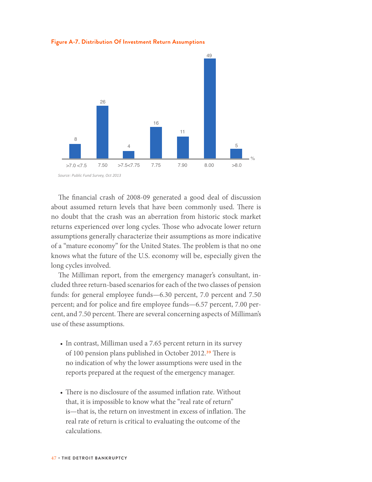**Figure A-7. Distribution Of Investment Return Assumptions**



The financial crash of 2008-09 generated a good deal of discussion about assumed return levels that have been commonly used. There is no doubt that the crash was an aberration from historic stock market returns experienced over long cycles. Those who advocate lower return assumptions generally characterize their assumptions as more indicative of a "mature economy" for the United States. The problem is that no one knows what the future of the U.S. economy will be, especially given the long cycles involved.

The Milliman report, from the emergency manager's consultant, included three return-based scenarios for each of the two classes of pension funds: for general employee funds—6.30 percent, 7.0 percent and 7.50 percent; and for police and fire employee funds—6.57 percent, 7.00 percent, and 7.50 percent. There are several concerning aspects of Milliman's use of these assumptions.

- In contrast, Milliman used a 7.65 percent return in its survey of 100 pension plans published in October 2012.<sup>39</sup> There is no indication of why the lower assumptions were used in the reports prepared at the request of the emergency manager.
- There is no disclosure of the assumed inflation rate. Without that, it is impossible to know what the "real rate of return" is—that is, the return on investment in excess of inflation. The real rate of return is critical to evaluating the outcome of the calculations.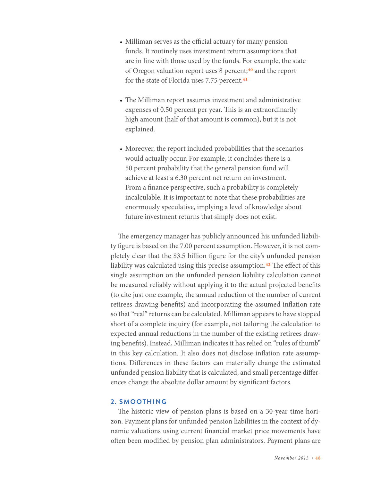- Milliman serves as the official actuary for many pension funds. It routinely uses investment return assumptions that are in line with those used by the funds. For example, the state of Oregon valuation report uses 8 percent;<sup>40</sup> and the report for the state of Florida uses 7.75 percent.<sup>41</sup>
- The Milliman report assumes investment and administrative expenses of 0.50 percent per year. This is an extraordinarily high amount (half of that amount is common), but it is not explained.
- Moreover, the report included probabilities that the scenarios would actually occur. For example, it concludes there is a 50 percent probability that the general pension fund will achieve at least a 6.30 percent net return on investment. From a finance perspective, such a probability is completely incalculable. It is important to note that these probabilities are enormously speculative, implying a level of knowledge about future investment returns that simply does not exist.

The emergency manager has publicly announced his unfunded liability figure is based on the 7.00 percent assumption. However, it is not completely clear that the \$3.5 billion figure for the city's unfunded pension liability was calculated using this precise assumption.<sup>42</sup> The effect of this single assumption on the unfunded pension liability calculation cannot be measured reliably without applying it to the actual projected benefits (to cite just one example, the annual reduction of the number of current retirees drawing benefits) and incorporating the assumed inflation rate so that "real" returns can be calculated. Milliman appears to have stopped short of a complete inquiry (for example, not tailoring the calculation to expected annual reductions in the number of the existing retirees drawing benefits). Instead, Milliman indicates it has relied on "rules of thumb" in this key calculation. It also does not disclose inflation rate assumptions. Differences in these factors can materially change the estimated unfunded pension liability that is calculated, and small percentage differences change the absolute dollar amount by significant factors.

#### **2. SMOOTHING**

The historic view of pension plans is based on a 30-year time horizon. Payment plans for unfunded pension liabilities in the context of dynamic valuations using current financial market price movements have often been modified by pension plan administrators. Payment plans are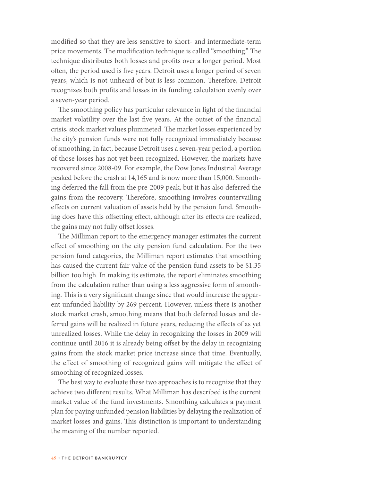modified so that they are less sensitive to short- and intermediate-term price movements. The modification technique is called "smoothing." The technique distributes both losses and profits over a longer period. Most often, the period used is five years. Detroit uses a longer period of seven years, which is not unheard of but is less common. Therefore, Detroit recognizes both profits and losses in its funding calculation evenly over a seven-year period.

The smoothing policy has particular relevance in light of the financial market volatility over the last five years. At the outset of the financial crisis, stock market values plummeted. The market losses experienced by the city's pension funds were not fully recognized immediately because of smoothing. In fact, because Detroit uses a seven-year period, a portion of those losses has not yet been recognized. However, the markets have recovered since 2008-09. For example, the Dow Jones Industrial Average peaked before the crash at 14,165 and is now more than 15,000. Smoothing deferred the fall from the pre-2009 peak, but it has also deferred the gains from the recovery. Therefore, smoothing involves countervailing effects on current valuation of assets held by the pension fund. Smoothing does have this offsetting effect, although after its effects are realized, the gains may not fully offset losses.

The Milliman report to the emergency manager estimates the current effect of smoothing on the city pension fund calculation. For the two pension fund categories, the Milliman report estimates that smoothing has caused the current fair value of the pension fund assets to be \$1.35 billion too high. In making its estimate, the report eliminates smoothing from the calculation rather than using a less aggressive form of smoothing. This is a very significant change since that would increase the apparent unfunded liability by 269 percent. However, unless there is another stock market crash, smoothing means that both deferred losses and deferred gains will be realized in future years, reducing the effects of as yet unrealized losses. While the delay in recognizing the losses in 2009 will continue until 2016 it is already being offset by the delay in recognizing gains from the stock market price increase since that time. Eventually, the effect of smoothing of recognized gains will mitigate the effect of smoothing of recognized losses.

The best way to evaluate these two approaches is to recognize that they achieve two different results. What Milliman has described is the current market value of the fund investments. Smoothing calculates a payment plan for paying unfunded pension liabilities by delaying the realization of market losses and gains. This distinction is important to understanding the meaning of the number reported.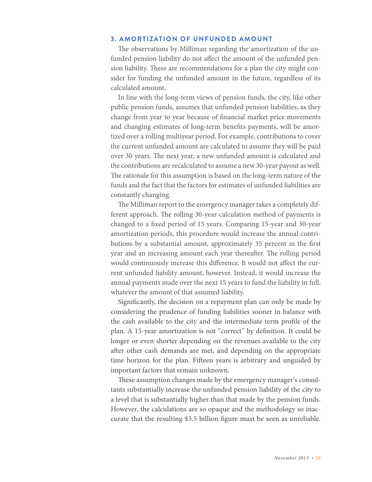#### **3. AMORTIZATION OF UNFUNDED AMOUNT**

The observations by Milliman regarding the amortization of the unfunded pension liability do not affect the amount of the unfunded pension liability. These are recommendations for a plan the city might consider for funding the unfunded amount in the future, regardless of its calculated amount.

In line with the long-term views of pension funds, the city, like other public pension funds, assumes that unfunded pension liabilities, as they change from year to year because of financial market price movements and changing estimates of long-term benefits payments, will be amortized over a rolling multiyear period. For example, contributions to cover the current unfunded amount are calculated to assume they will be paid over 30 years. The next year, a new unfunded amount is calculated and the contributions are recalculated to assume a new 30-year payout as well. The rationale for this assumption is based on the long-term nature of the funds and the fact that the factors for estimates of unfunded liabilities are constantly changing.

The Milliman report to the emergency manager takes a completely different approach. The rolling 30-year calculation method of payments is changed to a fixed period of 15 years. Comparing 15-year and 30-year amortization periods, this procedure would increase the annual contributions by a substantial amount, approximately 35 percent in the first year and an increasing amount each year thereafter. The rolling period would continuously increase this difference. It would not affect the current unfunded liability amount, however. Instead, it would increase the annual payments made over the next 15 years to fund the liability in full, whatever the amount of that assumed liability.

Significantly, the decision on a repayment plan can only be made by considering the prudence of funding liabilities sooner in balance with the cash available to the city and the intermediate term profile of the plan. A 15-year amortization is not "correct" by definition. It could be longer or even shorter depending on the revenues available to the city after other cash demands are met, and depending on the appropriate time horizon for the plan. Fifteen years is arbitrary and unguided by important factors that remain unknown.

These assumption changes made by the emergency manager's consultants substantially increase the unfunded pension liability of the city to a level that is substantially higher than that made by the pension funds. However, the calculations are so opaque and the methodology so inaccurate that the resulting \$3.5 billion figure must be seen as unreliable.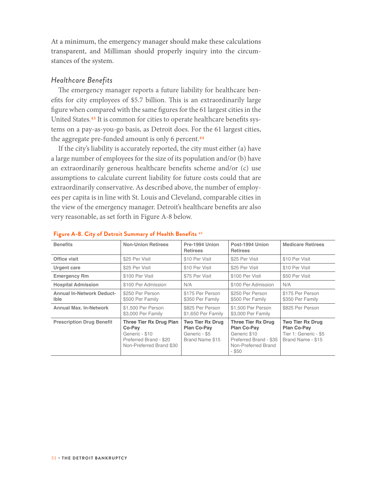At a minimum, the emergency manager should make these calculations transparent, and Milliman should properly inquiry into the circumstances of the system.

#### *Healthcare Benefits*

The emergency manager reports a future liability for healthcare benefits for city employees of \$5.7 billion. This is an extraordinarily large figure when compared with the same figures for the 61 largest cities in the United States.43 It is common for cities to operate healthcare benefits systems on a pay-as-you-go basis, as Detroit does. For the 61 largest cities, the aggregate pre-funded amount is only 6 percent.<sup>44</sup>

If the city's liability is accurately reported, the city must either (a) have a large number of employees for the size of its population and/or (b) have an extraordinarily generous healthcare benefits scheme and/or (c) use assumptions to calculate current liability for future costs could that are extraordinarily conservative. As described above, the number of employees per capita is in line with St. Louis and Cleveland, comparable cities in the view of the emergency manager. Detroit's healthcare benefits are also very reasonable, as set forth in Figure A-8 below.

| <b>Benefits</b>                          | <b>Non-Union Retirees</b>                                                                                        | Pre-1994 Union<br><b>Retirees</b>                                          | Post-1994 Union<br><b>Retirees</b>                                                                                    | <b>Medicare Retirees</b>                                                                    |
|------------------------------------------|------------------------------------------------------------------------------------------------------------------|----------------------------------------------------------------------------|-----------------------------------------------------------------------------------------------------------------------|---------------------------------------------------------------------------------------------|
| Office visit                             | \$25 Per Visit                                                                                                   | \$10 Per Visit                                                             | \$25 Per Visit                                                                                                        | \$10 Per Visit                                                                              |
| Urgent care                              | \$25 Per Visit                                                                                                   | \$10 Per Visit                                                             | \$25 Per Visit                                                                                                        | \$10 Per Visit                                                                              |
| <b>Emergency Rm</b>                      | \$100 Per Visit                                                                                                  | \$75 Per Visit                                                             | \$100 Per Visit                                                                                                       | \$50 Per Visit                                                                              |
| <b>Hospital Admission</b>                | \$100 Per Admission                                                                                              | N/A                                                                        | \$100 Per Admission                                                                                                   | N/A                                                                                         |
| <b>Annual In-Network Deduct-</b><br>ible | \$250 Per Person<br>\$500 Per Family                                                                             | \$175 Per Person<br>\$350 Per Family                                       | \$250 Per Person<br>\$500 Per Family                                                                                  | \$175 Per Person<br>\$350 Per Family                                                        |
| <b>Annual Max. In-Network</b>            | \$1,500 Per Person<br>\$3,000 Per Family                                                                         | \$825 Per Person<br>\$1,650 Per Family                                     | \$1,500 Per Person<br>\$3,000 Per Family                                                                              | \$825 Per Person                                                                            |
| <b>Prescription Drug Benefit</b>         | <b>Three Tier Rx Drug Plan</b><br>Co-Pay<br>Generic - \$10<br>Preferred Brand - \$20<br>Non-Preferred Brand \$30 | <b>Two Tier Rx Drug</b><br>Plan Co-Pay<br>Generic - \$5<br>Brand Name \$15 | <b>Three Tier Rx Drug</b><br>Plan Co-Pay<br>Generic \$10<br>Preferred Brand - \$35<br>Non-Preferred Brand<br>$-$ \$50 | <b>Two Tier Rx Drug</b><br><b>Plan Co-Pay</b><br>Tier 1: Generic - \$5<br>Brand Name - \$15 |

#### **Figure A-8. City of Detroit Summary of Health Benefits** 45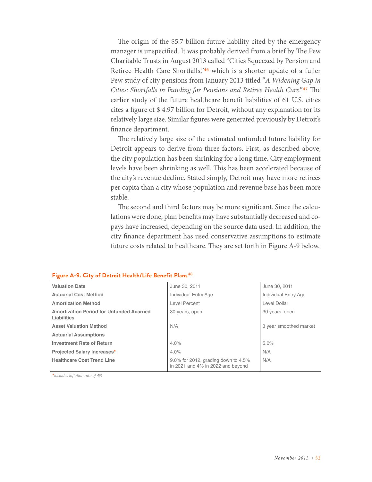The origin of the \$5.7 billion future liability cited by the emergency manager is unspecified. It was probably derived from a brief by The Pew Charitable Trusts in August 2013 called "Cities Squeezed by Pension and Retiree Health Care Shortfalls,"46 which is a shorter update of a fuller Pew study of city pensions from January 2013 titled "*A Widening Gap in Cities: Shortfalls in Funding for Pensions and Retiree Health Care*."47 The earlier study of the future healthcare benefit liabilities of 61 U.S. cities cites a figure of \$ 4.97 billion for Detroit, without any explanation for its relatively large size. Similar figures were generated previously by Detroit's finance department.

The relatively large size of the estimated unfunded future liability for Detroit appears to derive from three factors. First, as described above, the city population has been shrinking for a long time. City employment levels have been shrinking as well. This has been accelerated because of the city's revenue decline. Stated simply, Detroit may have more retirees per capita than a city whose population and revenue base has been more stable.

The second and third factors may be more significant. Since the calculations were done, plan benefits may have substantially decreased and copays have increased, depending on the source data used. In addition, the city finance department has used conservative assumptions to estimate future costs related to healthcare. They are set forth in Figure A-9 below.

#### **Figure A-9. City of Detroit Health/Life Benefit Plans**48

| <b>Valuation Date</b>                                   | June 30, 2011                                                            | June 30, 2011          |
|---------------------------------------------------------|--------------------------------------------------------------------------|------------------------|
| <b>Actuarial Cost Method</b>                            | Individual Entry Age                                                     | Individual Entry Age   |
| <b>Amortization Method</b>                              | Level Percent                                                            | Level Dollar           |
| Amortization Period for Unfunded Accrued<br>Liabilities | 30 years, open                                                           | 30 years, open         |
| <b>Asset Valuation Method</b>                           | N/A                                                                      | 3 year smoothed market |
| <b>Actuarial Assumptions</b>                            |                                                                          |                        |
| <b>Investment Rate of Return</b>                        | 4.0%                                                                     | 5.0%                   |
| <b>Projected Salary Increases*</b>                      | 4.0%                                                                     | N/A                    |
| <b>Healthcare Cost Trend Line</b>                       | 9.0% for 2012, grading down to 4.5%<br>in 2021 and 4% in 2022 and beyond | N/A                    |

*\*Includes inflation rate of 4%*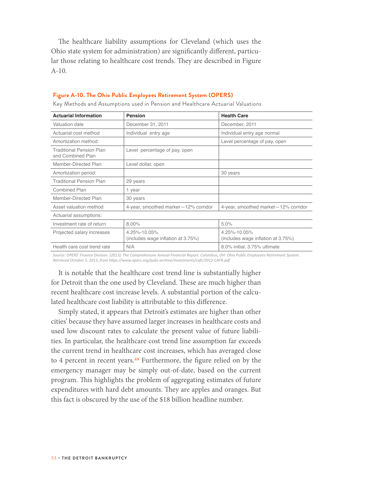The healthcare liability assumptions for Cleveland (which uses the Ohio state system for administration) are significantly different, particular those relating to healthcare cost trends. They are described in Figure A-10.

| <b>Actuarial Information</b>                         | <b>Pension</b>                                     | <b>Health Care</b>                                 |
|------------------------------------------------------|----------------------------------------------------|----------------------------------------------------|
| Valuation date                                       | December 31, 2011                                  | December, 2011                                     |
| Actuarial cost method                                | Individual entry age                               | Individual entry age normal                        |
| Amortization method:                                 |                                                    | Level percentage of pay, open                      |
| <b>Traditional Pension Plan</b><br>and Combined Plan | Level percentage of pay, open                      |                                                    |
| Member-Directed Plan                                 | Level dollar, open                                 |                                                    |
| Amortization period:                                 |                                                    | 30 years                                           |
| <b>Traditional Pension Plan</b>                      | 29 years                                           |                                                    |
| Combined Plan                                        | 1 year                                             |                                                    |
| Member-Directed Plan                                 | 30 years                                           |                                                    |
| Asset valuation method                               | 4-year, smoothed marker-12% corridor               | 4-year, smoothed market-12% corridor               |
| Actuarial assumptions:                               |                                                    |                                                    |
| Investment rate of return                            | $8.00\%$                                           | 5.0%                                               |
| Projected salary increases                           | 4.25%-10.05%<br>(includes wage inflation at 3.75%) | 4.25%-10.05%<br>(includes wage inflation at 3.75%) |
| Health care cost trend rate                          | N/A                                                | 8.0% initial, 3.75% ultimate                       |

#### **Figure A-10. The Ohio Public Employees Retirement System (OPERS)**

Key Methods and Assumptions used in Pension and Healthcare Actuarial Valuations

*Source: OPERS' Finance Division. (2013). The Comprehensive Annual Financial Report. Columbus, OH: Ohio Public Employees Retirement System. Retrieved October 5, 2013, from https://www.opers.org/pubs-archive/investments/cafr/2012-CAFR.pdf*

It is notable that the healthcare cost trend line is substantially higher for Detroit than the one used by Cleveland. These are much higher than recent healthcare cost increase levels. A substantial portion of the calculated healthcare cost liability is attributable to this difference.

Simply stated, it appears that Detroit's estimates are higher than other cities' because they have assumed larger increases in healthcare costs and used low discount rates to calculate the present value of future liabilities. In particular, the healthcare cost trend line assumption far exceeds the current trend in healthcare cost increases, which has averaged close to 4 percent in recent years.49 Furthermore, the figure relied on by the emergency manager may be simply out-of-date, based on the current program. This highlights the problem of aggregating estimates of future expenditures with hard debt amounts. They are apples and oranges. But this fact is obscured by the use of the \$18 billion headline number.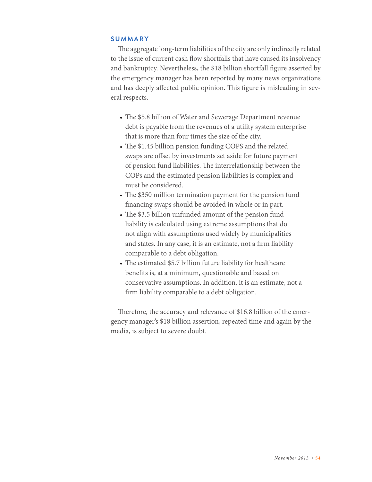#### **SUMMARY**

The aggregate long-term liabilities of the city are only indirectly related to the issue of current cash flow shortfalls that have caused its insolvency and bankruptcy. Nevertheless, the \$18 billion shortfall figure asserted by the emergency manager has been reported by many news organizations and has deeply affected public opinion. This figure is misleading in several respects.

- The \$5.8 billion of Water and Sewerage Department revenue debt is payable from the revenues of a utility system enterprise that is more than four times the size of the city.
- The \$1.45 billion pension funding COPS and the related swaps are offset by investments set aside for future payment of pension fund liabilities. The interrelationship between the COPs and the estimated pension liabilities is complex and must be considered.
- The \$350 million termination payment for the pension fund financing swaps should be avoided in whole or in part.
- The \$3.5 billion unfunded amount of the pension fund liability is calculated using extreme assumptions that do not align with assumptions used widely by municipalities and states. In any case, it is an estimate, not a firm liability comparable to a debt obligation.
- The estimated \$5.7 billion future liability for healthcare benefits is, at a minimum, questionable and based on conservative assumptions. In addition, it is an estimate, not a firm liability comparable to a debt obligation.

Therefore, the accuracy and relevance of \$16.8 billion of the emergency manager's \$18 billion assertion, repeated time and again by the media, is subject to severe doubt.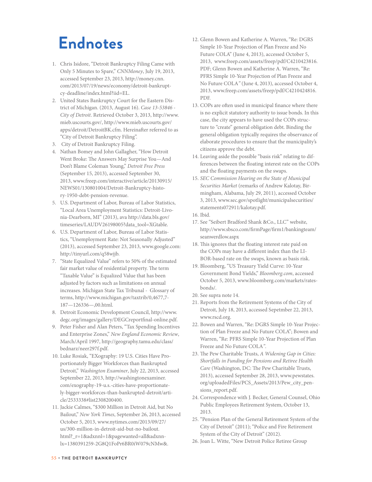# **Endnotes**

- 1. Chris Isidore, "Detroit Bankruptcy Filing Came with Only 5 Minutes to Spare," *CNNMoney*, July 19, 2013, accessed September 23, 2013, [http://money.cnn.](http://money.cnn.com/2013/07/19/news/economy/detroit-bankruptcy-deadline/index.html?iid=EL) [com/2013/07/19/news/economy/detroit-bankrupt](http://money.cnn.com/2013/07/19/news/economy/detroit-bankruptcy-deadline/index.html?iid=EL)[cy-deadline/index.html?iid=EL](http://money.cnn.com/2013/07/19/news/economy/detroit-bankruptcy-deadline/index.html?iid=EL).
- 2. United States Bankruptcy Court for the Eastern District of Michigan. (2013, August 16). *Case 13-53846 - City of Detroit*. Retrieved October 3, 2013, [http://www.](http://www.mieb.uscourts.gov/: http://www.mieb.uscourts.gov/apps/detroit/DetroitBK.cfm) [mieb.uscourts.gov/, http://www.mieb.uscourts.gov/](http://www.mieb.uscourts.gov/: http://www.mieb.uscourts.gov/apps/detroit/DetroitBK.cfm) [apps/detroit/DetroitBK.cfm.](http://www.mieb.uscourts.gov/: http://www.mieb.uscourts.gov/apps/detroit/DetroitBK.cfm) Hereinafter referred to as "City of Detroit Bankruptcy Filing".
- 3. City of Detroit Bankruptcy Filing.
- 4. Nathan Bomey and John Gallagher, "How Detroit Went Broke: The Answers May Surprise You—And Don't Blame Coleman Young," *Detroit Free Press* (September 15, 2013), accessed September 30, 2013, www.freep.com/interactive/article/20130915/ NEWS01/130801004/Detroit-Bankruptcy-history-1950-debt-pension-revenue.
- 5. U.S. Department of Labor, Bureau of Labor Statistics, "Local Area Unemployment Statistics: Detroit-Livonia-Dearborn, MI" (2013), ava http://data.bls.gov/ timeseries/LAUDV26198005?data\_tool=XGtable.
- 6. U.S. Department of Labor, Bureau of Labor Statistics, "Unemployment Rate: Not Seasonally Adjusted" (2013), accessed September 23, 2013, www.google.com: http://tinyurl.com/q58wjjb.
- 7. "State Equalized Value" refers to 50% of the estimated fair market value of residential property. The term "Taxable Value" is Equalized Value that has been adjusted by factors such as limitations on annual increases. Michigan State Tax Tribunal - Glossary of terms, http://www.michigan.gov/taxtrib/0,4677,7- 187—126336—,00.html.
- 8. Detroit Economic Development Council, http://www. degc.org/images/gallery/DEGCreportfinal-online.pdf.
- 9. Peter Fisher and Alan Peters, "Tax Spending Incentives and Enterprise Zones," *New England Economic Review*, March/April 1997, http://geography.tamu.edu/class/ bednarz/neer297f.pdf.
- 10. Luke Rosiak, "EXography: 19 U.S. Cities Have Proportionately Bigger Workforces than Bankrupted Detroit," *Washington Examiner*, July 22, 2013, accessed September 22, 2013, http://washingtonexaminer. com/exography-19-u.s.-cities-have-proportionately-bigger-workforces-than-bankrupted-detroit/article/2533338#list2308200400.
- 11. Jackie Calmes, "\$300 Million in Detroit Aid, but No Bailout," *New York Times*, September 26, 2013, accessed October 5, 2013, www.nytimes.com/2013/09/27/ us/300-million-in-detroit-aid-but-no-bailout. html?\_r=1&adxnnl=1&pagewanted=all&adxnnlx=1380391259-2G8Q1FoPr6BR0iW079cNMw&.
- 12. Glenn Bowen and Katherine A. Warren, "Re: DGRS Simple 10-Year Projection of Plan Freeze and No Future COLA" (June 4, 2013), accessed October 5, 2013, www.freep.com/assets/freep/pdf/C4210423816. PDF; Glenn Bowen and Katherine A. Warren, "Re: PFRS Simple 10-Year Projection of Plan Freeze and No Future COLA*"* (June 4, 2013), accessed October 4, 2013, www.freep.com/assets/freep/pdf/C4210424816. PDF.
- 13. COPs are often used in municipal finance where there is no explicit statutory authority to issue bonds. In this case, the city appears to have used the COPs structure to "create" general obligation debt. Binding the general obligation typically requires the observance of elaborate procedures to ensure that the municipality's citizens approve the debt.
- 14. Leaving aside the possible "basis risk" relating to differences between the floating interest rate on the COPs and the floating payments on the swaps.
- 15. *SEC Commission Hearing on the State of Municipal Securities Market* (remarks of Andrew Kalotay, Birmingham, Alabama, July 29, 2011), accessed October 3, 2013, www.sec.gov/spotlight/municipalsecurities/ statements072911/kalotay.pdf.
- 16. Ibid.
- 17. See "Seibert Bradford Shank &Co., LLC" website, http://www.sbsco.com/firmPage/firm1/bankingteam/ seanwerdlow.aspx
- 18. This ignores that the floating interest rate paid on the COPs may have a different index than the LI-BOR-based rate on the swaps, known as basis risk.
- 19. Bloomberg, "US Treasury Yield Curve: 10-Year Government Bond Yields," *Bloomberg.com*, accessed October 5, 2013, www.bloomberg.com/markets/ratesbonds/.
- 20. See supra note 14.
- 21. Reports from the Retirement Systems of the City of Detroit, July 18, 2013, accessed Sepetmber 22, 2013, www.rscd.org.
- 22. Bowen and Warren, "Re: DGRS Simple 10-Year Projection of Plan Freeze and No Future COLA"; Bowen and Warren, "Re: PFRS Simple 10-Year Projection of Plan Freeze and No Future COLA*"*.
- 23. The Pew Charitable Trusts, *A Widening Gap in Cities: Shortfalls in Funding for Pensions and Retiree Health Care* (Washington, DC: The Pew Charitable Trusts, 2013), accessed September 28, 2013, www.pewstates. org/uploadedFiles/PCS\_Assets/2013/Pew\_city\_pensions\_report.pdf.
- 24. Correspondence with J. Becker, General Counsel, Ohio Public Employees Retirement System, October 13, 2013.
- 25. "Pension Plan of the General Retirement System of the City of Detroit" (2011); "Police and Fire Retirement System of the City of Detroit" (2012).
- 26. Joan L. Witte, "New Detroit Police Retiree Group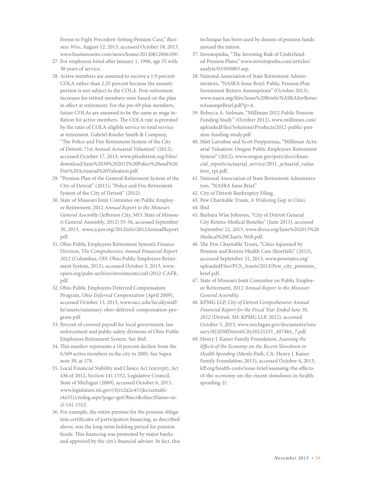Forms to Fight Precedent-Setting Pension Case," *Business Wire*, August 12, 2013, accessed October 18, 2013, www.businesswire.com/news/home/20130812006109/.

- 27. For employees hired after January 1, 1996, age 55 with 30 years of service.
- 28. Active members are assumed to receive a 1.9 percent COLA rather than 2.25 percent because the annuity portion is not subject to the COLA. Post-retirement increases for retired members were based on the plan in effect at retirement. For the pre-69 plan members, future COLAs are assumed to be the same as wage inflation for active members. The COLA rate is prorated by the ratio of COLA-eligible service to total service at retirement. Gabriel Roeder Smith & Company, "The Police and Fire Retirement System of the City of Detroit: 71st Annual Actuarial Valuation" (2012), accessed October 17, 2013, www.pfrsdetroit.org/Files/ download/June%2030%202012%20Police%20and%20 Fire%20Actuarial%20Valuation.pdf.
- 29. "Pension Plan of the General Retirement System of the City of Detroit" (2011); "Police and Fire Retirement System of the City of Detroit" (2012).
- 30. State of Missouri Joint Commitee on Public Employee Retirement, 2012 *Annual Report to the Missouri General Assembly* (Jefferson City, MO: State of Missouri General Assembly, 2012) 55-56, accessed September 30, 2013, www.jcper.org/2012info/2012AnnualReport. pdf.
- 31. Ohio Public Employees Retirement System's Finance Division, T*he Comprehensive Annual Financial Report 2012* (Columbus, OH: Ohio Public Employees Retirement System, 2013), accessed October 5, 2013, www. opers.org/pubs-archive/investments/cafr/2012-CAFR. pdf.
- 32. Ohio Public Employees Deferred Compensation Program, *Ohio Deferred Compensation* (April 2009), accessed October 15, 2013, www.sscc.edu/facultystaff/ hr/assets/summary-ohio-deferred-compensation-program.pdf.
- 33. Percent of covered payroll for local government, law enforcement and public safety divisions of Ohio Public Employees Retirement System. See ibid.
- 34. This number represents a 10 percent decline from the 6,569 active members in the city in 2005. See Supra note 30, at 178.
- 35. Local Financial Stability and Choice Act (excerpt), Act 436 of 2012, Section 141.1552, Legislative Council, State of Michigan (2009), accessed October 6, 2013, www.legislature.mi.gov/(S(rz2a2o451jks1szmahii4n55))/mileg.aspx?page=getObject&objectName=mcl-141-1552.
- 36. For example, the entire premise for the pension obligation certificates of participation financing, as described above, was the long-term holding period for pension funds. This financing was promoted by major banks and approved by the city's financial adviser. In fact, this

technique has been used by dozens of pension funds around the nation.

- 37. Investopedia, "The Investing Risk of Underfunded Pension Plans," www.investopedia.com/articles/ analyst/03/050803.asp.
- 38. National Association of State Retirement Administrators, "NASRA Issue Brief: Public Pension Plan Investment Return Assumptions" (October 2013), www.nasra.org/files/Issue%20Briefs/NASRAInvReturnAssumptBrief.pdf?p=4.
- 39. Rebecca A. Sielman, "Milliman 2012 Public Pension Funding Study" (October 2012), www.milliman.com/ uploadedFiles/Solutions/Products/2012-public-pension-funding-study.pdf.
- 40. Matt Larrabee and Scott Preppernau, "Milliman Actuarial Valuation: Oregon Public Employees Retirement System" (2012), www.oregon.gov/pers/docs/financial\_reports/actuarial\_service/2011\_actuarial\_valuation\_rpt.pdf.
- 41. National Association of State Retirement Administrators, "NASRA Issue Brief."
- 42. City of Detroit Bankruptcy Filing.
- 43. Pew Charitable Trusts, *A Widening Gap in Cities*. 44. Ibid
- 
- 45. Barbara Wise Johnson, "City of Detroit General City Retiree Medical Benefits" (June 2013), accessed September 22, 2013, www.drcea.org/June%202013%20 Medical%20Charts-Web.pdf.
- 46. The Pew Charitable Trusts, "Cities Squeezed by Pension and Retiree Health Care Shortfalls" (2013), accessed September 21, 2013, www.pewstates.org/ uploadedFiles/PCS\_Assets/2013/Pew\_city\_pensions\_ brief.pdf.
- 47. State of Missouri Joint Commitee on Public Employee Retirement, 2012 *Annual Report to the Missouri General Assembly.*
- 48. KPMG LLP, *City of Detroit Comprehensive Annual Financial Report for the Fiscal Year Ended June 30, 2012* (Detroit, MI: KPMG LLP, 2012), accessed October 5, 2013, www.michigan.gov/documents/treasury/822050DetroitCity20121231\_407484\_7.pdf.
- 49. Henry J. Kaiser Family Foundation, *Assessing the Effects of the Economy on the Recent Slowdown in Health Spending* (Menlo Park, CA: Henry J. Kaiser Family Foundation, 2013), accessed October 4, 2013, kff.org/health-costs/issue-brief/assessing-the-effectsof-the-economy-on-the-recent-slowdown-in-healthspending-2/.